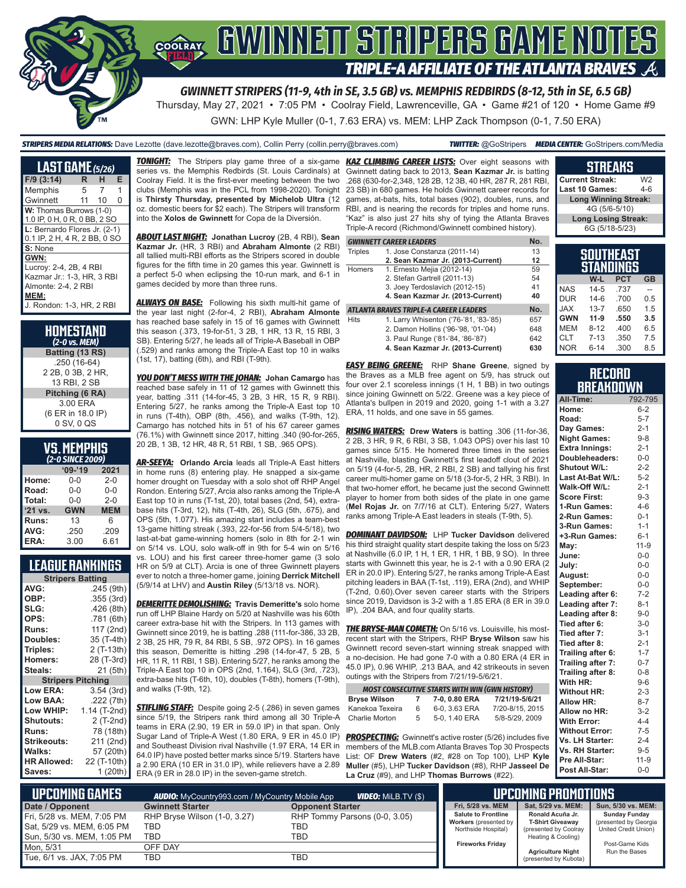

Thursday, May 27, 2021 • 7:05 PM • Coolray Field, Lawrenceville, GA • Game #21 of 120 • Home Game #9

GWN: LHP Kyle Muller (0-1, 7.63 ERA) vs. MEM: LHP Zack Thompson (0-1, 7.50 ERA)

*STRIPERS MEDIA RELATIONS:* Dave Lezotte (dave.lezotte@braves.com), Collin Perry (collin.perry@braves.com) *TWITTER:* @GoStripers *MEDIA CENTER:* GoStripers.com/Media

| <b>LAST GAME</b> (5/26)                                                                                                  |    |    |   |
|--------------------------------------------------------------------------------------------------------------------------|----|----|---|
| $F/9$ (3:14)                                                                                                             | R  | н  | Е |
| Memphis                                                                                                                  | 5  | 7  | 1 |
| Gwinnett                                                                                                                 | 11 | 10 | O |
| W: Thomas Burrows (1-0)<br>1.0 IP, 0 H, 0 R, 0 BB, 2 SO                                                                  |    |    |   |
| L: Bernardo Flores Jr. (2-1)<br>0.1 IP, 2 H, 4 R, 2 BB, 0 SO                                                             |    |    |   |
| S: None                                                                                                                  |    |    |   |
| GWN:<br>Lucroy: 2-4, 2B, 4 RBI<br>Kazmar Jr.: 1-3, HR, 3 RBI<br>Almonte: 2-4, 2 RBI<br>MEM:<br>J. Rondon: 1-3. HR. 2 RBI |    |    |   |

| HOMESTAND<br>$(2-0 \text{ vs. } MEM)$ |
|---------------------------------------|
| Batting (13 RS)                       |
| .250 (16-64)                          |
| 2 2B, 0 3B, 2 HR,                     |
| 13 RBI. 2 SB                          |
| Pitching (6 RA)                       |
| 3.00 ERA                              |
| (6 ER in 18.0 IP)                     |
| 0 SV, 0 QS                            |
|                                       |

| VJ. IILIII IIIJ<br>(2-0 SINCE 2009) |            |            |  |  |  |  |
|-------------------------------------|------------|------------|--|--|--|--|
| $'09-'19$<br>2021                   |            |            |  |  |  |  |
| Home:                               | 0-0        | $2 - 0$    |  |  |  |  |
| Road:                               | $0 - 0$    | $0 - 0$    |  |  |  |  |
| Total:                              | $0 - 0$    | $2 - 0$    |  |  |  |  |
| '21 vs.                             | <b>GWN</b> | <b>MEM</b> |  |  |  |  |
| Runs:                               | 13         | 6          |  |  |  |  |
| AVG:                                | .250       | .209       |  |  |  |  |

**VC MEMBHIC** 

**LEAGUE RANKINGS**

**ERA:** 3.00 6.61

| <b>Stripers Batting</b>  |              |
|--------------------------|--------------|
| AVG:                     | .245 (9th)   |
| OBP:                     | .355 (3rd)   |
| SLG:                     | .426 (8th)   |
| OPS:                     | .781 (6th)   |
| <b>Runs:</b>             | 117 (2nd)    |
| <b>Doubles:</b>          | 35 (T-4th)   |
| Triples:                 | 2 (T-13th)   |
| <b>Homers:</b>           | 28 (T-3rd)   |
| Steals:                  | 21 (5th)     |
| <b>Stripers Pitching</b> |              |
| <b>Low ERA:</b>          | 3.54(3rd)    |
| Low BAA:                 | .222 (7th)   |
| Low WHIP:                | 1.14 (T-2nd) |
| <b>Shutouts:</b>         | 2 (T-2nd)    |
| <b>Runs:</b>             | 78 (18th)    |
| <b>Strikeouts:</b>       | 211 (2nd)    |
| Walks:                   | 57 (20th)    |
| <b>HR Allowed:</b>       | 22 (T-10th)  |
| Saves:                   | 1 (20th)     |
|                          |              |

**TONIGHT:** The Stripers play game three of a six-game series vs. the Memphis Redbirds (St. Louis Cardinals) at Coolray Field. It is the first-ever meeting between the two clubs (Memphis was in the PCL from 1998-2020). Tonight is **Thirsty Thursday, presented by Michelob Ultra** (12 oz. domestic beers for \$2 each). The Stripers will transform into the **Xolos de Gwinnett** for Copa de la Diversión.

*ABOUT LAST NIGHT:* **Jonathan Lucroy** (2B, 4 RBI), **Sean Kazmar Jr.** (HR, 3 RBI) and **Abraham Almonte** (2 RBI) all tallied multi-RBI efforts as the Stripers scored in double figures for the fifth time in 20 games this year. Gwinnett is a perfect 5-0 when eclipsing the 10-run mark, and 6-1 in games decided by more than three runs.

*ALWAYS ON BASE:* Following his sixth multi-hit game of the year last night (2-for-4, 2 RBI), **Abraham Almonte** has reached base safely in 15 of 16 games with Gwinnett this season (.373, 19-for-51, 3 2B, 1 HR, 13 R, 15 RBI, 3 SB). Entering 5/27, he leads all of Triple-A Baseball in OBP (.529) and ranks among the Triple-A East top 10 in walks (1st, 17), batting (6th), and RBI (T-9th).

*YOU DON'T MESS WITH THE JOHAN:* **Johan Camargo** has reached base safely in 11 of 12 games with Gwinnett this year, batting .311 (14-for-45, 3 2B, 3 HR, 15 R, 9 RBI). Entering 5/27, he ranks among the Triple-A East top 10 in runs (T-4th), OBP (8th, .456), and walks (T-9th, 12). Camargo has notched hits in 51 of his 67 career games (76.1%) with Gwinnett since 2017, hitting .340 (90-for-265, 20 2B, 1 3B, 12 HR, 48 R, 51 RBI, 1 SB, .965 OPS).

*AR-SEEYA:* **Orlando Arcia** leads all Triple-A East hitters in home runs (8) entering play. He snapped a six-game homer drought on Tuesday with a solo shot off RHP Angel Rondon. Entering 5/27, Arcia also ranks among the Triple-A East top 10 in runs (T-1st, 20), total bases (2nd, 54), extrabase hits (T-3rd, 12), hits (T-4th, 26), SLG (5th, .675), and OPS (5th, 1.077). His amazing start includes a team-best 13-game hitting streak (.393, 22-for-56 from 5/4-5/18), two last-at-bat game-winning homers (solo in 8th for 2-1 win on 5/14 vs. LOU, solo walk-off in 9th for 5-4 win on 5/16

vs. LOU) and his first career three-homer game (3 solo HR on 5/9 at CLT). Arcia is one of three Gwinnett players ever to notch a three-homer game, joining **Derrick Mitchell** (5/9/14 at LHV) and **Austin Riley** (5/13/18 vs. NOR).

*DEMERITTE DEMOLISHING:* **Travis Demeritte's** solo home run off LHP Blaine Hardy on 5/20 at Nashville was his 60th career extra-base hit with the Stripers. In 113 games with Gwinnett since 2019, he is batting .288 (111-for-386, 33 2B, 2 3B, 25 HR, 79 R, 84 RBI, 5 SB, .972 OPS). In 16 games this season, Demeritte is hitting .298 (14-for-47, 5 2B, 5 HR, 11 R, 11 RBI, 1 SB). Entering 5/27, he ranks among the Triple-A East top 10 in OPS (2nd, 1.164), SLG (3rd, .723), extra-base hits (T-6th, 10), doubles (T-8th), homers (T-9th), and walks (T-9th, 12).

**STIFLING STAFF:** Despite going 2-5 (.286) in seven games since 5/19, the Stripers rank third among all 30 Triple-A teams in ERA (2.90, 19 ER in 59.0 IP) in that span. Only Sugar Land of Triple-A West (1.80 ERA, 9 ER in 45.0 IP) and Southeast Division rival Nashville (1.97 ERA, 14 ER in 64.0 IP) have posted better marks since 5/19. Starters have a 2.90 ERA (10 ER in 31.0 IP), while relievers have a 2.89 ERA (9 ER in 28.0 IP) in the seven-game stretch.

*KAZ CLIMBING CAREER LISTS:* Over eight seasons with Gwinnett dating back to 2013, **Sean Kazmar Jr.** is batting .268 (630-for-2,348, 128 2B, 12 3B, 40 HR, 287 R, 281 RBI, 23 SB) in 680 games. He holds Gwinnett career records for games, at-bats, hits, total bases (902), doubles, runs, and RBI, and is nearing the records for triples and home runs. "Kaz" is also just 27 hits shy of tying the Atlanta Braves Triple-A record (Richmond/Gwinnett combined history).

|                | <b>GWINNETT CAREER LEADERS</b>         | No. |
|----------------|----------------------------------------|-----|
| <b>Triples</b> | 1. Jose Constanza (2011-14)            | 13  |
|                | 2. Sean Kazmar Jr. (2013-Current)      | 12  |
| Homers         | 1. Ernesto Mejia (2012-14)             | 59  |
|                | 2. Stefan Gartrell (2011-13)           | 54  |
|                | 3. Joey Terdoslavich (2012-15)         | 41  |
|                | 4. Sean Kazmar Jr. (2013-Current)      | 40  |
|                | ATLANTA BRAVES TRIPLE-A CAREER LEADERS | No. |
| <b>Hits</b>    | 1. Larry Whisenton ('76-'81, '83-'85)  | 657 |
|                | 2. Damon Hollins ('96-'98, '01-'04)    | 648 |
|                | 3. Paul Runge ('81-'84, '86-'87)       | 642 |

*EASY BEING GREENE:* RHP **Shane Greene**, signed by **4. Sean Kazmar Jr. (2013-Current) 630**

the Braves as a MLB free agent on 5/9, has struck out four over 2.1 scoreless innings (1 H, 1 BB) in two outings since joining Gwinnett on 5/22. Greene was a key piece of Atlanta's bullpen in 2019 and 2020, going 1-1 with a 3.27 ERA, 11 holds, and one save in 55 games.

*RISING WATERS:* **Drew Waters** is batting .306 (11-for-36, 2 2B, 3 HR, 9 R, 6 RBI, 3 SB, 1.043 OPS) over his last 10 games since 5/15. He homered three times in the series at Nashville, blasting Gwinnett's first leadoff clout of 2021 on 5/19 (4-for-5, 2B, HR, 2 RBI, 2 SB) and tallying his first career multi-homer game on 5/18 (3-for-5, 2 HR, 3 RBI). In that two-homer effort, he became just the second Gwinnett player to homer from both sides of the plate in one game (**Mel Rojas Jr.** on 7/7/16 at CLT). Entering 5/27, Waters ranks among Triple-A East leaders in steals (T-9th, 5).

*DOMINANT DAVIDSON:* LHP **Tucker Davidson** delivered his third straight quality start despite taking the loss on 5/23 at Nashville (6.0 IP, 1 H, 1 ER, 1 HR, 1 BB, 9 SO). In three starts with Gwinnett this year, he is 2-1 with a 0.90 ERA (2 ER in 20.0 IP). Entering 5/27, he ranks among Triple-A East pitching leaders in BAA (T-1st, .119), ERA (2nd), and WHIP (T-2nd, 0.60).Over seven career starts with the Stripers since 2019, Davidson is 3-2 with a 1.85 ERA (8 ER in 39.0 IP), .204 BAA, and four quality starts.

*THE BRYSE-MAN COMETH:* On 5/16 vs. Louisville, his mostrecent start with the Stripers, RHP **Bryse Wilson** saw his Gwinnett record seven-start winning streak snapped with a no-decision. He had gone 7-0 with a 0.80 ERA (4 ER in 45.0 IP), 0.96 WHIP, .213 BAA, and 42 strikeouts in seven outings with the Stripers from 7/21/19-5/6/21.

|                     |   | <b>MOST CONSECUTIVE STARTS WITH WIN (GWN HISTORY)</b> |                 |
|---------------------|---|-------------------------------------------------------|-----------------|
| <b>Bryse Wilson</b> |   | 7-0, 0.80 ERA                                         | 7/21/19-5/6/21  |
| Kanekoa Texeira     | 6 | 6-0, 3.63 ERA                                         | 7/20-8/15, 2015 |
| Charlie Morton      | 5 | 5-0, 1.40 ERA                                         | 5/8-5/29, 2009  |

**PROSPECTING:** Gwinnett's active roster (5/26) includes five members of the MLB.com Atlanta Braves Top 30 Prospects List: OF **Drew Waters** (#2, #28 on Top 100), LHP **Kyle Muller** (#5), LHP **Tucker Davidson** (#8), RHP **Jasseel De La Cruz** (#9), and LHP **Thomas Burrows** (#22).

| <b>Current Streak:</b>      | W2  |  |  |  |  |
|-----------------------------|-----|--|--|--|--|
| Last 10 Games:              | 4-6 |  |  |  |  |
| <b>Long Winning Streak:</b> |     |  |  |  |  |
| 4G (5/6-5/10)               |     |  |  |  |  |
| <b>Long Losing Streak:</b>  |     |  |  |  |  |
| 6G (5/18-5/23)              |     |  |  |  |  |
|                             |     |  |  |  |  |
|                             |     |  |  |  |  |

**STREAKS**

|            |          | ו בAוזווטש<br>STANDINGS |           |
|------------|----------|-------------------------|-----------|
|            | W-L      | <b>PCT</b>              | <b>GB</b> |
| <b>NAS</b> | $14 - 5$ | .737                    |           |
| <b>DUR</b> | $14 - 6$ | .700                    | 0.5       |
| <b>JAX</b> | $13 - 7$ | .650                    | 1.5       |
| <b>GWN</b> | $11-9$   | .550                    | 3.5       |
| <b>MEM</b> | $8 - 12$ | .400                    | 6.5       |
| <b>CLT</b> | $7 - 13$ | .350                    | 7.5       |
| <b>NOR</b> | $6 - 14$ | .300                    | 8.5       |

#### **RECORD RRFAKDOWN**

| All-Time:              | 792-795  |
|------------------------|----------|
| Home:                  | $6 - 2$  |
| Road:                  | $5 - 7$  |
| Day Games:             | $2 - 1$  |
| <b>Night Games:</b>    | $9 - 8$  |
| <b>Extra Innings:</b>  | $2 - 1$  |
| Doubleheaders:         | $0 - 0$  |
| <b>Shutout W/L:</b>    | $2 - 2$  |
| Last At-Bat W/L:       | $5 - 2$  |
| Walk-Off W/L:          | $2 - 1$  |
| <b>Score First:</b>    | $9 - 3$  |
| 1-Run Games:           | $4 - 6$  |
| 2-Run Games:           | $0 - 1$  |
| 3-Run Games:           | $1 - 1$  |
| +3-Run Games:          | $6 - 1$  |
| May:                   | $11 - 9$ |
| June:                  | $0-0$    |
| July:                  | $0-0$    |
| August:                | $0-0$    |
| September:             | $0-0$    |
| Leading after 6:       | $7 - 2$  |
| Leading after 7:       | $8 - 1$  |
| Leading after 8:       | $9 - 0$  |
| Tied after 6:          | $3-0$    |
| Tied after 7:          | $3 - 1$  |
| Tied after 8:          | $2 - 1$  |
| Trailing after 6:      | $1 - 7$  |
| Trailing after 7:      | $0 - 7$  |
| Trailing after 8:      | $0 - 8$  |
| With HR:               | $9 - 6$  |
| <b>Without HR:</b>     | $2 - 3$  |
| <b>Allow HR:</b>       | $8 - 7$  |
| Allow no HR:           | $3 - 2$  |
| <b>With Error:</b>     | $4 - 4$  |
| <b>Without Error:</b>  | $7 - 5$  |
| Vs. LH Starter:        | $2 - 4$  |
| <b>Vs. RH Starter:</b> | $9 - 5$  |
| Pre All-Star:          | $11-9$   |
| Post All-Star:         | $0 - 0$  |

| I UPCOMING GAMES '<br><b>VIDEO:</b> Milb.TV (\$)<br><b>AUDIO:</b> MyCountry993.com / MyCountry Mobile App |                                     |                                       | LIPCOMING PROMOTIONS                                                              |                                                                       |                                                                       |  |
|-----------------------------------------------------------------------------------------------------------|-------------------------------------|---------------------------------------|-----------------------------------------------------------------------------------|-----------------------------------------------------------------------|-----------------------------------------------------------------------|--|
| Date / Opponent                                                                                           | <b>Gwinnett Starter</b>             | <b>Opponent Starter</b>               | Fri, 5/28 vs. MEM                                                                 | Sat. 5/29 vs. MEM:                                                    | Sun, 5/30 vs. MEM:                                                    |  |
| Fri, 5/28 vs. MEM, 7:05 PM<br>Sat, 5/29 vs. MEM, 6:05 PM                                                  | RHP Bryse Wilson (1-0, 3.27)<br>TBD | RHP Tommy Parsons (0-0, 3.05)<br>TBD. | <b>Salute to Frontline</b><br><b>Workers</b> (presented by<br>Northside Hospital) | Ronald Acuña Jr.<br><b>T-Shirt Giveaway</b><br>(presented by Coolray) | <b>Sunday Funday</b><br>(presented by Georgia<br>United Credit Union) |  |
| Sun, 5/30 vs. MEM, 1:05 PM                                                                                | <b>TBD</b>                          | TBD                                   |                                                                                   | Heating & Cooling)                                                    |                                                                       |  |
| Mon. 5/31                                                                                                 | OFF DAY                             |                                       | <b>Fireworks Friday</b>                                                           | <b>Agriculture Night</b>                                              | Post-Game Kids<br>Run the Bases                                       |  |
| Tue, 6/1 vs. JAX, 7:05 PM                                                                                 | TBD                                 | TBD                                   |                                                                                   | (presented by Kubota)                                                 |                                                                       |  |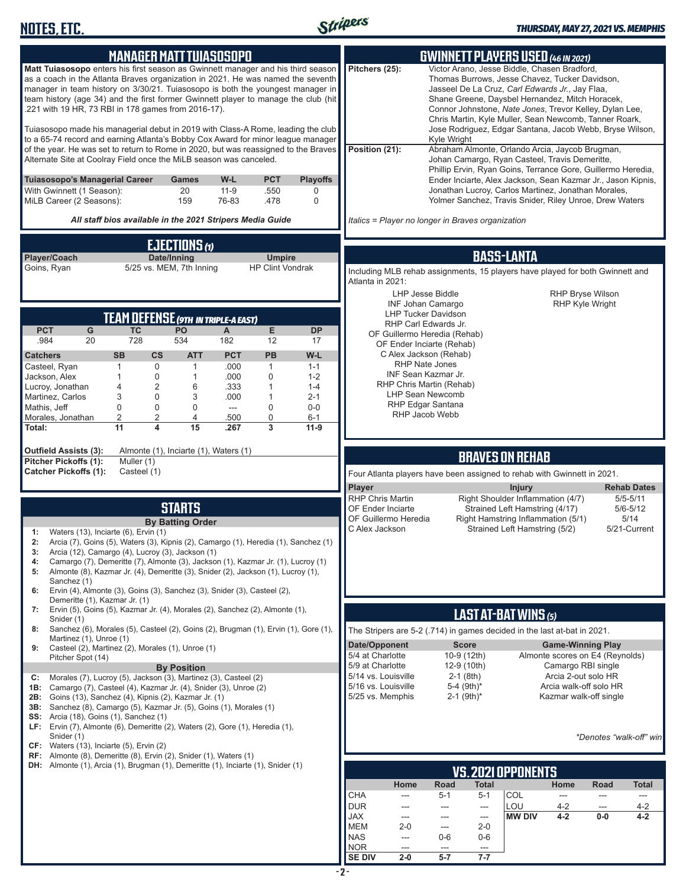

| <b>MANAGER MATT TUIASOSOPO</b>                                                                                                                                                                                                                                                                                                                                                                       | <b>GWINNETT PLAYERS USED (46 IN 2021)</b>                                                                                                                                                                                                                                                                                                   |
|------------------------------------------------------------------------------------------------------------------------------------------------------------------------------------------------------------------------------------------------------------------------------------------------------------------------------------------------------------------------------------------------------|---------------------------------------------------------------------------------------------------------------------------------------------------------------------------------------------------------------------------------------------------------------------------------------------------------------------------------------------|
| Matt Tuiasosopo enters his first season as Gwinnett manager and his third season<br>as a coach in the Atlanta Braves organization in 2021. He was named the seventh<br>manager in team history on 3/30/21. Tuiasosopo is both the youngest manager in<br>team history (age 34) and the first former Gwinnett player to manage the club (hit<br>.221 with 19 HR, 73 RBI in 178 games from 2016-17).   | Pitchers (25):<br>Victor Arano, Jesse Biddle, Chasen Bradford,<br>Thomas Burrows, Jesse Chavez, Tucker Davidson,<br>Jasseel De La Cruz, Carl Edwards Jr., Jay Flaa,<br>Shane Greene, Daysbel Hernandez, Mitch Horacek,<br>Connor Johnstone, Nate Jones, Trevor Kelley, Dylan Lee,<br>Chris Martin, Kyle Muller, Sean Newcomb, Tanner Roark, |
| Tuiasosopo made his managerial debut in 2019 with Class-A Rome, leading the club<br>to a 65-74 record and earning Atlanta's Bobby Cox Award for minor league manager<br>of the year. He was set to return to Rome in 2020, but was reassigned to the Braves<br>Alternate Site at Coolray Field once the MiLB season was canceled.                                                                    | Jose Rodriguez, Edgar Santana, Jacob Webb, Bryse Wilson,<br>Kyle Wright<br>Position (21):<br>Abraham Almonte, Orlando Arcia, Jaycob Brugman,<br>Johan Camargo, Ryan Casteel, Travis Demeritte,<br>Phillip Ervin, Ryan Goins, Terrance Gore, Guillermo Heredia,                                                                              |
| <b>Tuiasosopo's Managerial Career</b><br>W-L<br><b>PCT</b><br><b>Playoffs</b><br>Games<br>With Gwinnett (1 Season):<br>20<br>$11 - 9$<br>.550<br>0<br>MiLB Career (2 Seasons):<br>159<br>76-83<br>$\mathbf 0$<br>.478                                                                                                                                                                                | Ender Inciarte, Alex Jackson, Sean Kazmar Jr., Jason Kipnis,<br>Jonathan Lucroy, Carlos Martinez, Jonathan Morales,<br>Yolmer Sanchez, Travis Snider, Riley Unroe, Drew Waters                                                                                                                                                              |
| All staff bios available in the 2021 Stripers Media Guide                                                                                                                                                                                                                                                                                                                                            | Italics = Player no longer in Braves organization                                                                                                                                                                                                                                                                                           |
| <b>EJECTIONS</b>                                                                                                                                                                                                                                                                                                                                                                                     | <b>BASS-LANTA</b>                                                                                                                                                                                                                                                                                                                           |
| Player/Coach<br>Date/Inning<br><b>Umpire</b><br>5/25 vs. MEM, 7th Inning<br><b>HP Clint Vondrak</b><br>Goins, Ryan                                                                                                                                                                                                                                                                                   | Including MLB rehab assignments, 15 players have played for both Gwinnett and                                                                                                                                                                                                                                                               |
|                                                                                                                                                                                                                                                                                                                                                                                                      | Atlanta in 2021:<br><b>LHP Jesse Biddle</b><br><b>RHP Bryse Wilson</b><br><b>INF Johan Camargo</b><br><b>RHP Kyle Wright</b><br><b>LHP Tucker Davidson</b>                                                                                                                                                                                  |
| <b>TEAM DEFENSE (9TH IN TRIPLE-A EAST)</b><br><b>PCT</b><br>G<br>E<br><b>TC</b><br>PO<br><b>DP</b><br>A                                                                                                                                                                                                                                                                                              | RHP Carl Edwards Jr.                                                                                                                                                                                                                                                                                                                        |
| 728<br>534<br>.984<br>20<br>182<br>12<br>17                                                                                                                                                                                                                                                                                                                                                          | OF Guillermo Heredia (Rehab)<br>OF Ender Inciarte (Rehab)                                                                                                                                                                                                                                                                                   |
| <b>SB</b><br><b>PCT</b><br>PB<br>W-L<br><b>Catchers</b><br>$\mathsf{cs}$<br><b>ATT</b><br>$\mathbf 0$<br>.000<br>$\mathbf{1}$<br>Casteel, Ryan<br>1<br>$\mathbf{1}$<br>$1 - 1$                                                                                                                                                                                                                       | C Alex Jackson (Rehab)<br><b>RHP Nate Jones</b>                                                                                                                                                                                                                                                                                             |
| Jackson, Alex<br>0<br>.000<br>$\mathbf 0$<br>1<br>$\mathbf{1}$<br>$1 - 2$                                                                                                                                                                                                                                                                                                                            | INF Sean Kazmar Jr.<br>RHP Chris Martin (Rehab)                                                                                                                                                                                                                                                                                             |
| Lucroy, Jonathan<br>4<br>$\overline{2}$<br>.333<br>6<br>1<br>$1 - 4$<br>3<br>Martinez, Carlos<br>0<br>3<br>.000<br>$\mathbf{1}$<br>$2 - 1$                                                                                                                                                                                                                                                           | <b>LHP Sean Newcomb</b>                                                                                                                                                                                                                                                                                                                     |
| 0<br>Mathis, Jeff<br>$\mathbf 0$<br>$\mathbf 0$<br>0<br>$0-0$<br>$---$<br>2<br>0<br>Morales, Jonathan<br>2<br>4<br>.500<br>$6 - 1$                                                                                                                                                                                                                                                                   | <b>RHP Edgar Santana</b><br>RHP Jacob Webb                                                                                                                                                                                                                                                                                                  |
| $\overline{15}$<br>11<br>4<br>.267<br>3<br>$11-9$<br>Total:                                                                                                                                                                                                                                                                                                                                          |                                                                                                                                                                                                                                                                                                                                             |
| <b>Outfield Assists (3):</b><br>Almonte (1), Inciarte (1), Waters (1)                                                                                                                                                                                                                                                                                                                                | <b>BRAVES ON REHAB</b>                                                                                                                                                                                                                                                                                                                      |
| Pitcher Pickoffs (1):<br>Muller (1)<br><b>Catcher Pickoffs (1):</b><br>Casteel (1)                                                                                                                                                                                                                                                                                                                   | Four Atlanta players have been assigned to rehab with Gwinnett in 2021.                                                                                                                                                                                                                                                                     |
|                                                                                                                                                                                                                                                                                                                                                                                                      | Player<br><b>Injury</b><br><b>Rehab Dates</b>                                                                                                                                                                                                                                                                                               |
| <b>STARTS</b>                                                                                                                                                                                                                                                                                                                                                                                        | <b>RHP Chris Martin</b><br>Right Shoulder Inflammation (4/7)<br>$5/5 - 5/11$<br>Strained Left Hamstring (4/17)<br><b>OF Ender Inciarte</b><br>$5/6 - 5/12$                                                                                                                                                                                  |
| <b>By Batting Order</b>                                                                                                                                                                                                                                                                                                                                                                              | OF Guillermo Heredia<br>5/14<br>Right Hamstring Inflammation (5/1)<br>C Alex Jackson<br>Strained Left Hamstring (5/2)<br>5/21-Current                                                                                                                                                                                                       |
| Waters (13), Inciarte (6), Ervin (1)<br>1:<br>Arcia (7), Goins (5), Waters (3), Kipnis (2), Camargo (1), Heredia (1), Sanchez (1)<br>2:<br>Arcia (12), Camargo (4), Lucroy (3), Jackson (1)<br>3:<br>Camargo (7), Demeritte (7), Almonte (3), Jackson (1), Kazmar Jr. (1), Lucroy (1)<br>4:<br>Almonte (8), Kazmar Jr. (4), Demeritte (3), Snider (2), Jackson (1), Lucroy (1),<br>5:<br>Sanchez (1) |                                                                                                                                                                                                                                                                                                                                             |
| Ervin (4), Almonte (3), Goins (3), Sanchez (3), Snider (3), Casteel (2),<br>6:<br>Demeritte (1), Kazmar Jr. (1)                                                                                                                                                                                                                                                                                      |                                                                                                                                                                                                                                                                                                                                             |
| Ervin (5), Goins (5), Kazmar Jr. (4), Morales (2), Sanchez (2), Almonte (1),<br>7:<br>Snider (1)                                                                                                                                                                                                                                                                                                     | LAST AT-BAT WINS (5)                                                                                                                                                                                                                                                                                                                        |
| Sanchez (6), Morales (5), Casteel (2), Goins (2), Brugman (1), Ervin (1), Gore (1),<br>8:                                                                                                                                                                                                                                                                                                            | The Stripers are 5-2 (.714) in games decided in the last at-bat in 2021.                                                                                                                                                                                                                                                                    |
| Martinez (1), Unroe (1)<br>Casteel (2), Martinez (2), Morales (1), Unroe (1)<br>9:                                                                                                                                                                                                                                                                                                                   | Date/Opponent<br><b>Score</b><br><b>Game-Winning Play</b><br>5/4 at Charlotte<br>Almonte scores on E4 (Reynolds)                                                                                                                                                                                                                            |
| Pitcher Spot (14)<br><b>By Position</b>                                                                                                                                                                                                                                                                                                                                                              | 10-9 (12th)<br>5/9 at Charlotte<br>Camargo RBI single<br>12-9 (10th)                                                                                                                                                                                                                                                                        |
| Morales (7), Lucroy (5), Jackson (3), Martinez (3), Casteel (2)<br>C:<br>Camargo (7), Casteel (4), Kazmar Jr. (4), Snider (3), Unroe (2)<br>1B:                                                                                                                                                                                                                                                      | 5/14 vs. Louisville<br>$2-1$ (8th)<br>Arcia 2-out solo HR<br>5/16 vs. Louisville<br>5-4 (9th)*<br>Arcia walk-off solo HR                                                                                                                                                                                                                    |
| Goins (13), Sanchez (4), Kipnis (2), Kazmar Jr. (1)<br>2B:<br>Sanchez (8), Camargo (5), Kazmar Jr. (5), Goins (1), Morales (1)<br>3B:                                                                                                                                                                                                                                                                | 5/25 vs. Memphis<br>Kazmar walk-off single<br>$2-1$ (9th) <sup>*</sup>                                                                                                                                                                                                                                                                      |
| Arcia (18), Goins (1), Sanchez (1)<br>SS:<br>LF: Ervin (7), Almonte (6), Demeritte (2), Waters (2), Gore (1), Heredia (1),                                                                                                                                                                                                                                                                           |                                                                                                                                                                                                                                                                                                                                             |
| Snider (1)<br>CF: Waters (13), Inciarte (5), Ervin (2)                                                                                                                                                                                                                                                                                                                                               | *Denotes "walk-off" win                                                                                                                                                                                                                                                                                                                     |
| RF: Almonte (8), Demeritte (8), Ervin (2), Snider (1), Waters (1)<br><b>DH:</b> Almonte (1), Arcia (1), Brugman (1), Demeritte (1), Inciarte (1), Snider (1)                                                                                                                                                                                                                                         |                                                                                                                                                                                                                                                                                                                                             |
|                                                                                                                                                                                                                                                                                                                                                                                                      | <b>VS. 2021 OPPONENTS</b><br>Road<br><b>Total</b><br>Home<br>Road<br>Home<br><b>Total</b>                                                                                                                                                                                                                                                   |
|                                                                                                                                                                                                                                                                                                                                                                                                      | <b>CHA</b><br>COL<br>$5 - 1$<br>$5 - 1$<br>---<br>---<br>---<br>---                                                                                                                                                                                                                                                                         |
|                                                                                                                                                                                                                                                                                                                                                                                                      | <b>DUR</b><br>LOU<br>$4 - 2$<br>$4 - 2$<br>---<br>---<br>---<br>---<br>$4 - 2$<br>$4 - 2$<br><b>JAX</b><br><b>MW DIV</b><br>$0-0$<br>---<br>---<br>---                                                                                                                                                                                      |
|                                                                                                                                                                                                                                                                                                                                                                                                      | <b>MEM</b><br>$2 - 0$<br>$2 - 0$<br>---<br><b>NAS</b><br>0-6<br>$0-6$<br>---                                                                                                                                                                                                                                                                |
|                                                                                                                                                                                                                                                                                                                                                                                                      | <b>NOR</b><br>---<br>---<br>$---$                                                                                                                                                                                                                                                                                                           |
|                                                                                                                                                                                                                                                                                                                                                                                                      | <b>SE DIV</b><br>$2 - 0$<br>$7 - 7$<br>5-7                                                                                                                                                                                                                                                                                                  |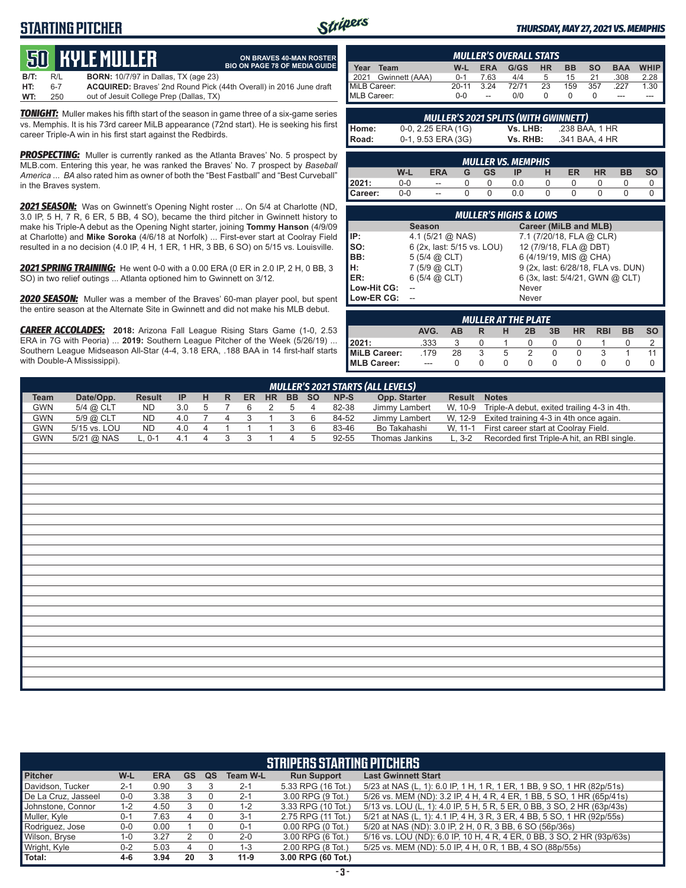# **STARTING PITCHER**



**ON BRAVES 40-MAN ROSTER BIO ON PAGE 78 OF MEDIA GUIDE**

#### *THURSDAY, MAY 27, 2021 VS. MEMPHIS*

# **50****KYLE MULLER**

**B/T:** R/L **BORN:** 10/7/97 in Dallas, TX (age 23) **HT:** 6-7 **ACQUIRED:** Braves' 2nd Round Pick (44th Overall) in 2016 June draft out of Jesuit College Prep (Dallas, TX)

*TONIGHT:* Muller makes his fifth start of the season in game three of a six-game series vs. Memphis. It is his 73rd career MiLB appearance (72nd start). He is seeking his first career Triple-A win in his first start against the Redbirds.

*PROSPECTING:* Muller is currently ranked as the Atlanta Braves' No. 5 prospect by MLB.com. Entering this year, he was ranked the Braves' No. 7 prospect by *Baseball America* ... *BA* also rated him as owner of both the "Best Fastball" and "Best Curveball" in the Braves system.

*2021 SEASON:* Was on Gwinnett's Opening Night roster ... On 5/4 at Charlotte (ND, 3.0 IP, 5 H, 7 R, 6 ER, 5 BB, 4 SO), became the third pitcher in Gwinnett history to make his Triple-A debut as the Opening Night starter, joining **Tommy Hanson** (4/9/09 at Charlotte) and **Mike Soroka** (4/6/18 at Norfolk) ... First-ever start at Coolray Field resulted in a no decision (4.0 IP, 4 H, 1 ER, 1 HR, 3 BB, 6 SO) on 5/15 vs. Louisville.

*2021 SPRING TRAINING:* He went 0-0 with a 0.00 ERA (0 ER in 2.0 IP, 2 H, 0 BB, 3 SO) in two relief outings ... Atlanta optioned him to Gwinnett on 3/12.

*2020 SEASON:* Muller was a member of the Braves' 60-man player pool, but spent the entire season at the Alternate Site in Gwinnett and did not make his MLB debut.

*CAREER ACCOLADES:* **2018:** Arizona Fall League Rising Stars Game (1-0, 2.53 ERA in 7G with Peoria) ... **2019:** Southern League Pitcher of the Week (5/26/19) ... Southern League Midseason All-Star (4-4, 3.18 ERA, .188 BAA in 14 first-half starts with Double-A Mississippi).

| MULLER'S OVERALL STATS                |           |                          |       |     |           |           |            |             |
|---------------------------------------|-----------|--------------------------|-------|-----|-----------|-----------|------------|-------------|
| Year<br>Team                          | W-L       | <b>ERA</b>               | G/GS  | HR. | <b>BB</b> | <b>SO</b> | <b>BAA</b> | <b>WHIP</b> |
| Gwinnett (AAA)<br>$\blacksquare$ 2021 | $0 - 1$   | 7.63                     | 4/4   | b   | 15        |           | .308       | 2.28        |
| MiLB Career:                          | $20 - 11$ | 3.24                     | 72/71 | 23  | 159       | 357       | 227        | 1.30        |
| MLB Career:                           | $0 - 0$   | $\overline{\phantom{a}}$ | 0/0   |     |           |           | ---        | ---         |

|       | <b>MULLER'S 2021 SPLITS (WITH GWINNETT)</b> |          |                |  |  |  |  |  |  |  |  |  |  |  |
|-------|---------------------------------------------|----------|----------------|--|--|--|--|--|--|--|--|--|--|--|
| Home: | $0-0$ , 2.25 ERA (1G)                       | Vs. LHB: | .238 BAA. 1 HR |  |  |  |  |  |  |  |  |  |  |  |
| Road: | $0-1, 9.53$ ERA (3G)                        | Vs. RHB: | .341 BAA, 4 HR |  |  |  |  |  |  |  |  |  |  |  |

|         | <b>MULLER VS. MEMPHIS</b> |                          |   |           |     |   |    |           |           |           |  |  |  |  |  |
|---------|---------------------------|--------------------------|---|-----------|-----|---|----|-----------|-----------|-----------|--|--|--|--|--|
|         | W-L                       | <b>ERA</b>               | G | <b>GS</b> | IP  | н | ER | <b>HR</b> | <b>BB</b> | <b>SO</b> |  |  |  |  |  |
| 12021:  | 0-0                       | $\overline{\phantom{a}}$ |   |           |     |   |    |           |           |           |  |  |  |  |  |
| Career: | $0-0$                     | $\overline{\phantom{a}}$ |   |           | 0.0 |   |    |           |           |           |  |  |  |  |  |

|             | <b>MULLER'S HIGHS &amp; LOWS</b> |                                    |  |  |  |  |  |  |  |  |  |  |  |
|-------------|----------------------------------|------------------------------------|--|--|--|--|--|--|--|--|--|--|--|
|             | <b>Season</b>                    | Career (MiLB and MLB)              |  |  |  |  |  |  |  |  |  |  |  |
| IP:         | 4.1 $(5/21)$ ( $\Omega$ NAS)     | 7.1 (7/20/18, FLA @ CLR)           |  |  |  |  |  |  |  |  |  |  |  |
| so:         | 6 (2x, last: 5/15 vs. LOU)       | 12 (7/9/18, FLA @ DBT)             |  |  |  |  |  |  |  |  |  |  |  |
| BB:         | $5(5/4)$ $\omega$ CLT)           | 6 (4/19/19, MIS @ CHA)             |  |  |  |  |  |  |  |  |  |  |  |
| H:          | 7(5/9 @ CLT)                     | 9 (2x, last: 6/28/18, FLA vs. DUN) |  |  |  |  |  |  |  |  |  |  |  |
| ER:         | $6(5/4)$ $(2)$ CLT)              | 6 (3x, last: 5/4/21, GWN @ CLT)    |  |  |  |  |  |  |  |  |  |  |  |
| Low-Hit CG: |                                  | Never                              |  |  |  |  |  |  |  |  |  |  |  |
| Low-ER CG:  |                                  | Never                              |  |  |  |  |  |  |  |  |  |  |  |

| <b>MULLER AT THE PLATE</b> |       |           |  |   |               |    |           |            |           |           |  |  |  |  |
|----------------------------|-------|-----------|--|---|---------------|----|-----------|------------|-----------|-----------|--|--|--|--|
|                            | AVG.  | <b>AB</b> |  | н | 2B            | 3B | <b>HR</b> | <b>RBI</b> | <b>BB</b> | <b>SO</b> |  |  |  |  |
| 2021:                      | .333  |           |  |   |               |    |           |            |           |           |  |  |  |  |
| MiLB Career:               | .179  | 28        |  | 5 | $\mathcal{P}$ |    |           |            |           |           |  |  |  |  |
| MLB Career:                | $---$ |           |  |   | $\Omega$      |    |           |            |           |           |  |  |  |  |

|             | <b>MULLER'S 2021 STARTS (ALL LEVELS)</b> |               |     |                         |                |              |                |                |       |       |                |              |                                             |  |
|-------------|------------------------------------------|---------------|-----|-------------------------|----------------|--------------|----------------|----------------|-------|-------|----------------|--------------|---------------------------------------------|--|
| <b>Team</b> | Date/Opp.                                | <b>Result</b> | IP  | H                       | $\mathsf{R}$   | ER           | <b>HR</b>      |                | BB SO | NP-S  | Opp. Starter   | Result Notes |                                             |  |
| <b>GWN</b>  | 5/4 @ CLT                                | <b>ND</b>     | 3.0 | 5                       | $\overline{7}$ | 6            | $\overline{2}$ | 5              | 4     | 82-38 | Jimmy Lambert  | W, 10-9      | Triple-A debut, exited trailing 4-3 in 4th. |  |
| <b>GWN</b>  | 5/9 @ CLT                                | ND            | 4.0 | $\overline{7}$          | $\overline{4}$ | 3            | $\mathbf{1}$   | 3              | 6     | 84-52 | Jimmy Lambert  | W, 12-9      | Exited training 4-3 in 4th once again.      |  |
| <b>GWN</b>  | 5/15 vs. LOU                             | <b>ND</b>     | 4.0 | $\overline{\mathbf{4}}$ | $\mathbf{1}$   | $\mathbf{1}$ |                | 3              | 6     | 83-46 | Bo Takahashi   | W, 11-1      | First career start at Coolray Field.        |  |
| <b>GWN</b>  | 5/21 @ NAS                               | $L, 0-1$      | 4.1 | $\overline{4}$          | 3              | 3            | $\overline{A}$ | $\overline{4}$ | 5     | 92-55 | Thomas Jankins | $L, 3-2$     | Recorded first Triple-A hit, an RBI single. |  |
|             |                                          |               |     |                         |                |              |                |                |       |       |                |              |                                             |  |
|             |                                          |               |     |                         |                |              |                |                |       |       |                |              |                                             |  |
|             |                                          |               |     |                         |                |              |                |                |       |       |                |              |                                             |  |
|             |                                          |               |     |                         |                |              |                |                |       |       |                |              |                                             |  |
|             |                                          |               |     |                         |                |              |                |                |       |       |                |              |                                             |  |
|             |                                          |               |     |                         |                |              |                |                |       |       |                |              |                                             |  |
|             |                                          |               |     |                         |                |              |                |                |       |       |                |              |                                             |  |
|             |                                          |               |     |                         |                |              |                |                |       |       |                |              |                                             |  |
|             |                                          |               |     |                         |                |              |                |                |       |       |                |              |                                             |  |
|             |                                          |               |     |                         |                |              |                |                |       |       |                |              |                                             |  |
|             |                                          |               |     |                         |                |              |                |                |       |       |                |              |                                             |  |
|             |                                          |               |     |                         |                |              |                |                |       |       |                |              |                                             |  |
|             |                                          |               |     |                         |                |              |                |                |       |       |                |              |                                             |  |
|             |                                          |               |     |                         |                |              |                |                |       |       |                |              |                                             |  |
|             |                                          |               |     |                         |                |              |                |                |       |       |                |              |                                             |  |
|             |                                          |               |     |                         |                |              |                |                |       |       |                |              |                                             |  |
|             |                                          |               |     |                         |                |              |                |                |       |       |                |              |                                             |  |
|             |                                          |               |     |                         |                |              |                |                |       |       |                |              |                                             |  |
|             |                                          |               |     |                         |                |              |                |                |       |       |                |              |                                             |  |
|             |                                          |               |     |                         |                |              |                |                |       |       |                |              |                                             |  |
|             |                                          |               |     |                         |                |              |                |                |       |       |                |              |                                             |  |
|             |                                          |               |     |                         |                |              |                |                |       |       |                |              |                                             |  |
|             |                                          |               |     |                         |                |              |                |                |       |       |                |              |                                             |  |
|             |                                          |               |     |                         |                |              |                |                |       |       |                |              |                                             |  |

|                     | <b>STRIPERS STARTING PITCHERS</b>                                                                                        |            |           |    |                 |                       |                                                                         |  |  |  |  |  |  |  |  |
|---------------------|--------------------------------------------------------------------------------------------------------------------------|------------|-----------|----|-----------------|-----------------------|-------------------------------------------------------------------------|--|--|--|--|--|--|--|--|
| <b>Pitcher</b>      | W-L                                                                                                                      | <b>ERA</b> | <b>GS</b> | QS | <b>Team W-L</b> | <b>Run Support</b>    | <b>Last Gwinnett Start</b>                                              |  |  |  |  |  |  |  |  |
| Davidson, Tucker    | $2 - 1$                                                                                                                  | 0.90       |           |    | $2 - 1$         | 5.33 RPG (16 Tot.)    | 5/23 at NAS (L, 1): 6.0 IP, 1 H, 1 R, 1 ER, 1 BB, 9 SO, 1 HR (82p/51s)  |  |  |  |  |  |  |  |  |
| De La Cruz, Jasseel | 5/26 vs. MEM (ND): 3.2 IP, 4 H, 4 R, 4 ER, 1 BB, 5 SO, 1 HR (65p/41s)<br>3.00 RPG (9 Tot.)<br>3.38<br>$0 - 0$<br>$2 - 1$ |            |           |    |                 |                       |                                                                         |  |  |  |  |  |  |  |  |
| Johnstone, Connor   | 1-2                                                                                                                      | 4.50       |           |    | $1 - 2$         | 3.33 RPG (10 Tot.)    | 5/13 vs. LOU (L, 1): 4.0 IP, 5 H, 5 R, 5 ER, 0 BB, 3 SO, 2 HR (63p/43s) |  |  |  |  |  |  |  |  |
| Muller, Kyle        | $0 - 1$                                                                                                                  | 7.63       |           |    | $3 - 1$         | 2.75 RPG (11 Tot.)    | 5/21 at NAS (L, 1): 4.1 IP, 4 H, 3 R, 3 ER, 4 BB, 5 SO, 1 HR (92p/55s)  |  |  |  |  |  |  |  |  |
| Rodriguez, Jose     | $0-0$                                                                                                                    | 0.00       |           |    | $0 - 1$         | $0.00$ RPG $(0$ Tot.) | 5/20 at NAS (ND): 3.0 IP, 2 H, 0 R, 3 BB, 6 SO (56p/36s)                |  |  |  |  |  |  |  |  |
| Wilson, Bryse       | $1 - 0$                                                                                                                  | 3.27       |           |    | $2 - 0$         | 3.00 RPG (6 Tot.)     | 5/16 vs. LOU (ND): 6.0 IP, 10 H, 4 R, 4 ER, 0 BB, 3 SO, 2 HR (93p/63s)  |  |  |  |  |  |  |  |  |
| Wright, Kyle        | $0 - 2$                                                                                                                  | 5.03       |           |    | $1 - 3$         | 2.00 RPG (8 Tot.)     | 5/25 vs. MEM (ND): 5.0 IP, 4 H, 0 R, 1 BB, 4 SO (88p/55s)               |  |  |  |  |  |  |  |  |
| Total:              | $4-6$                                                                                                                    | 3.94       | 20        |    | $11-9$          | 3.00 RPG (60 Tot.)    |                                                                         |  |  |  |  |  |  |  |  |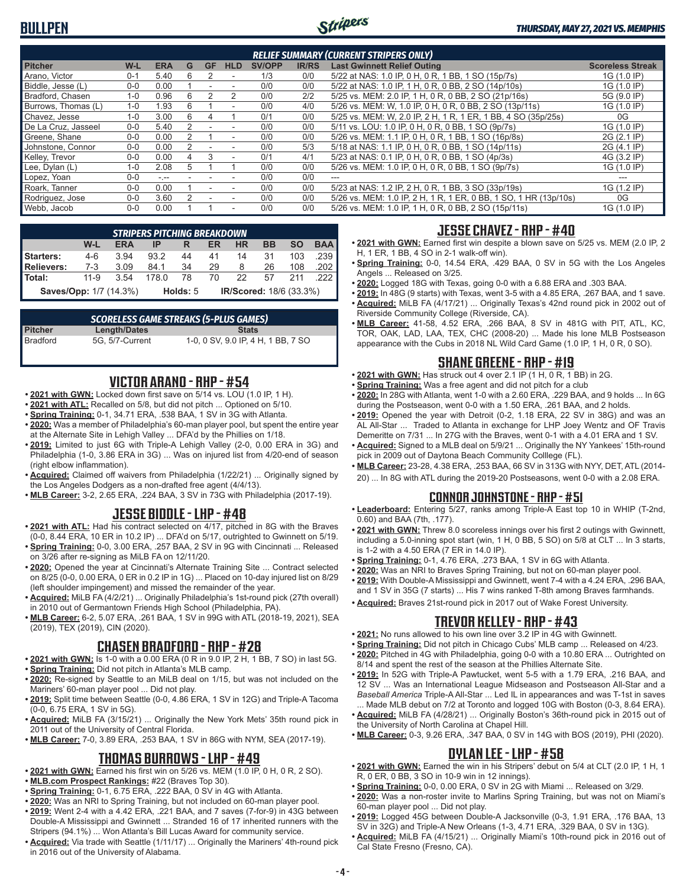

| <b>RELIEF SUMMARY (CURRENT STRIPERS ONLY)</b> |         |            |   |           |                          |               |              |                                                                  |                         |  |  |  |
|-----------------------------------------------|---------|------------|---|-----------|--------------------------|---------------|--------------|------------------------------------------------------------------|-------------------------|--|--|--|
| <b>Pitcher</b>                                | W-L     | <b>ERA</b> | G | <b>GF</b> | <b>HLD</b>               | <b>SV/OPP</b> | <b>IR/RS</b> | <b>Last Gwinnett Relief Outing</b>                               | <b>Scoreless Streak</b> |  |  |  |
| Arano, Victor                                 | $0 - 1$ | 5.40       | 6 |           |                          | 1/3           | 0/0          | 5/22 at NAS: 1.0 IP, 0 H, 0 R, 1 BB, 1 SO (15p/7s)               | 1G (1.0 IP)             |  |  |  |
| Biddle, Jesse (L)                             | $0 - 0$ | 0.00       |   |           |                          | 0/0           | 0/0          | 5/22 at NAS: 1.0 IP, 1 H, 0 R, 0 BB, 2 SO (14p/10s)              | 1G (1.0 IP)             |  |  |  |
| Bradford, Chasen                              | $1 - 0$ | 0.96       | 6 |           |                          | 0/0           | 2/2          | 5/25 vs. MEM: 2.0 IP, 1 H, 0 R, 0 BB, 2 SO (21p/16s)             | 5G (9.0 IP)             |  |  |  |
| Burrows, Thomas (L)                           | $1 - 0$ | 1.93       | 6 |           | $\overline{\phantom{a}}$ | 0/0           | 4/0          | 5/26 vs. MEM: W, 1.0 IP, 0 H, 0 R, 0 BB, 2 SO (13p/11s)          | 1G (1.0 IP)             |  |  |  |
| Chavez, Jesse                                 | $1 - 0$ | 3.00       | 6 |           |                          | 0/1           | 0/0          | 5/25 vs. MEM: W, 2.0 IP, 2 H, 1 R, 1 ER, 1 BB, 4 SO (35p/25s)    | 0G                      |  |  |  |
| De La Cruz, Jasseel                           | $0 - 0$ | 5.40       |   |           |                          | 0/0           | 0/0          | 5/11 vs. LOU: 1.0 IP, 0 H, 0 R, 0 BB, 1 SO (9p/7s)               | 1G (1.0 IP)             |  |  |  |
| Greene, Shane                                 | $0 - 0$ | 0.00       |   |           | $\overline{\phantom{a}}$ | 0/0           | 0/0          | 5/26 vs. MEM: 1.1 IP, 0 H, 0 R, 1 BB, 1 SO (16p/8s)              | 2G (2.1 IP)             |  |  |  |
| Johnstone, Connor                             | $0 - 0$ | 0.00       |   |           |                          | 0/0           | 5/3          | 5/18 at NAS: 1.1 IP, 0 H, 0 R, 0 BB, 1 SO (14p/11s)              | 2G (4.1 IP)             |  |  |  |
| Kelley, Trevor                                | $0 - 0$ | 0.00       | 4 |           | $\overline{\phantom{a}}$ | 0/1           | 4/1          | 5/23 at NAS: 0.1 IP, 0 H, 0 R, 0 BB, 1 SO (4p/3s)                | 4G (3.2 IP)             |  |  |  |
| Lee, Dylan (L)                                | $1 - 0$ | 2.08       | 5 |           |                          | 0/0           | 0/0          | 5/26 vs. MEM: 1.0 IP, 0 H, 0 R, 0 BB, 1 SO (9p/7s)               | 1G (1.0 IP)             |  |  |  |
| Lopez, Yoan                                   | $0 - 0$ | $-1$       |   |           |                          | 0/0           | 0/0          |                                                                  |                         |  |  |  |
| Roark, Tanner                                 | $0 - 0$ | 0.00       |   |           |                          | 0/0           | 0/0          | 5/23 at NAS: 1.2 IP, 2 H, 0 R, 1 BB, 3 SO (33p/19s)              | 1G (1.2 IP)             |  |  |  |
| Rodriguez, Jose                               | $0 - 0$ | 3.60       |   |           |                          | 0/0           | 0/0          | 5/26 vs. MEM: 1.0 IP, 2 H, 1 R, 1 ER, 0 BB, 1 SO, 1 HR (13p/10s) | 0G                      |  |  |  |
| Webb, Jacob                                   | $0 - 0$ | 0.00       |   |           | $\overline{\phantom{a}}$ | 0/0           | 0/0          | 5/26 vs. MEM: 1.0 IP, 1 H, 0 R, 0 BB, 2 SO (15p/11s)             | 1G (1.0 IP)             |  |  |  |

|                               | <b>STRIPERS PITCHING BREAKDOWN</b>                                               |      |       |                                     |    |    |    |     |        |  |  |  |  |  |
|-------------------------------|----------------------------------------------------------------------------------|------|-------|-------------------------------------|----|----|----|-----|--------|--|--|--|--|--|
|                               | <b>BAA</b><br><b>SO</b><br>W-L<br>BB<br><b>HR</b><br><b>ERA</b><br>ER<br>IP<br>R |      |       |                                     |    |    |    |     |        |  |  |  |  |  |
| <b>Starters:</b>              | $4-6$                                                                            | 3.94 | 93.2  | 44                                  | 41 | 14 | 31 | 103 | .239   |  |  |  |  |  |
| <b>Relievers:</b>             | $7-3$                                                                            | 3.09 | 84 1  | 34                                  | 29 | 8  | 26 | 108 | .202 I |  |  |  |  |  |
| Total:                        | $11 - 9$                                                                         | 3.54 | 178.0 | 78                                  | 70 | 22 | 57 | 211 |        |  |  |  |  |  |
| <b>Saves/Opp: 1/7 (14.3%)</b> |                                                                                  |      |       | IR/Scored: 18/6 (33.3%)<br>Holds: 5 |    |    |    |     |        |  |  |  |  |  |

| <b>SCORELESS GAME STREAKS (5-PLUS GAMES)</b> |                 |                                    |  |  |  |  |  |  |  |  |  |  |
|----------------------------------------------|-----------------|------------------------------------|--|--|--|--|--|--|--|--|--|--|
| <b>Pitcher</b>                               | Length/Dates    | <b>Stats</b>                       |  |  |  |  |  |  |  |  |  |  |
| Bradford                                     | 5G. 5/7-Current | 1-0, 0 SV, 9.0 IP, 4 H, 1 BB, 7 SO |  |  |  |  |  |  |  |  |  |  |

### **VICTOR ARANO - RHP - #54**

- 2021 with GWN: Locked down first save on 5/14 vs. LOU (1.0 IP, 1 H).
- **• 2021 with ATL:** Recalled on 5/8, but did not pitch ... Optioned on 5/10.
- **• Spring Training:** 0-1, 34.71 ERA, .538 BAA, 1 SV in 3G with Atlanta.
- **• 2020:** Was a member of Philadelphia's 60-man player pool, but spent the entire year at the Alternate Site in Lehigh Valley ... DFA'd by the Phillies on 1/18.
- **• 2019:** Limited to just 6G with Triple-A Lehigh Valley (2-0, 0.00 ERA in 3G) and Philadelphia (1-0, 3.86 ERA in 3G) ... Was on injured list from 4/20-end of season (right elbow inflammation).
- **• Acquired:** Claimed off waivers from Philadelphia (1/22/21) ... Originally signed by the Los Angeles Dodgers as a non-drafted free agent (4/4/13).
- **• MLB Career:** 3-2, 2.65 ERA, .224 BAA, 3 SV in 73G with Philadelphia (2017-19).

#### **JESSE BIDDLE - LHP - #48**

- **• 2021 with ATL:** Had his contract selected on 4/17, pitched in 8G with the Braves (0-0, 8.44 ERA, 10 ER in 10.2 IP) ... DFA'd on 5/17, outrighted to Gwinnett on 5/19.
- **• Spring Training:** 0-0, 3.00 ERA, .257 BAA, 2 SV in 9G with Cincinnati ... Released on 3/26 after re-signing as MiLB FA on 12/11/20.
- **• 2020:** Opened the year at Cincinnati's Alternate Training Site ... Contract selected on 8/25 (0-0, 0.00 ERA, 0 ER in 0.2 IP in 1G) ... Placed on 10-day injured list on 8/29 (left shoulder impingement) and missed the remainder of the year.
- **• Acquired:** MiLB FA (4/2/21) ... Originally Philadelphia's 1st-round pick (27th overall) in 2010 out of Germantown Friends High School (Philadelphia, PA).
- **• MLB Career:** 6-2, 5.07 ERA, .261 BAA, 1 SV in 99G with ATL (2018-19, 2021), SEA (2019), TEX (2019), CIN (2020).

### **CHASEN BRADFORD - RHP - #28**

- **• 2021 with GWN:** Is 1-0 with a 0.00 ERA (0 R in 9.0 IP, 2 H, 1 BB, 7 SO) in last 5G. **• Spring Training:** Did not pitch in Atlanta's MLB camp.
- **• 2020:** Re-signed by Seattle to an MiLB deal on 1/15, but was not included on the Mariners' 60-man player pool ... Did not play.
- **• 2019:** Split time between Seattle (0-0, 4.86 ERA, 1 SV in 12G) and Triple-A Tacoma (0-0, 6.75 ERA, 1 SV in 5G).
- **• Acquired:** MiLB FA (3/15/21) ... Originally the New York Mets' 35th round pick in 2011 out of the University of Central Florida.
- **• MLB Career:** 7-0, 3.89 ERA, .253 BAA, 1 SV in 86G with NYM, SEA (2017-19).

### **THOMAS BURROWS - LHP - #49**

- **• 2021 with GWN:** Earned his first win on 5/26 vs. MEM (1.0 IP, 0 H, 0 R, 2 SO).
- **• MLB.com Prospect Rankings:** #22 (Braves Top 30).
- **• Spring Training:** 0-1, 6.75 ERA, .222 BAA, 0 SV in 4G with Atlanta.
- **• 2020:** Was an NRI to Spring Training, but not included on 60-man player pool. **• 2019:** Went 2-4 with a 4.42 ERA, .221 BAA, and 7 saves (7-for-9) in 43G between Double-A Mississippi and Gwinnett ... Stranded 16 of 17 inherited runners with the Stripers (94.1%) ... Won Atlanta's Bill Lucas Award for community service.
- **• Acquired:** Via trade with Seattle (1/11/17) ... Originally the Mariners' 4th-round pick in 2016 out of the University of Alabama.

#### **JESSE CHAVEZ - RHP - #40**

- **• 2021 with GWN:** Earned first win despite a blown save on 5/25 vs. MEM (2.0 IP, 2 H, 1 ER, 1 BB, 4 SO in 2-1 walk-off win).
- **• Spring Training:** 0-0, 14.54 ERA, .429 BAA, 0 SV in 5G with the Los Angeles Angels ... Released on 3/25.
- **• 2020:** Logged 18G with Texas, going 0-0 with a 6.88 ERA and .303 BAA.
- **• 2019:** In 48G (9 starts) with Texas, went 3-5 with a 4.85 ERA, .267 BAA, and 1 save. **• Acquired:** MiLB FA (4/17/21) ... Originally Texas's 42nd round pick in 2002 out of Riverside Community College (Riverside, CA).
- **• MLB Career:** 41-58, 4.52 ERA, .266 BAA, 8 SV in 481G with PIT, ATL, KC, TOR, OAK, LAD, LAA, TEX, CHC (2008-20) ... Made his lone MLB Postseason appearance with the Cubs in 2018 NL Wild Card Game (1.0 IP, 1 H, 0 R, 0 SO).

# **SHANE GREENE - RHP - #19**

- **• 2021 with GWN:** Has struck out 4 over 2.1 IP (1 H, 0 R, 1 BB) in 2G.
- **• Spring Training:** Was a free agent and did not pitch for a club
- **• 2020:** In 28G with Atlanta, went 1-0 with a 2.60 ERA, .229 BAA, and 9 holds ... In 6G during the Postseason, went 0-0 with a 1.50 ERA, .261 BAA, and 2 holds.
- **• 2019:** Opened the year with Detroit (0-2, 1.18 ERA, 22 SV in 38G) and was an AL All-Star ... Traded to Atlanta in exchange for LHP Joey Wentz and OF Travis Demeritte on 7/31 ... In 27G with the Braves, went 0-1 with a 4.01 ERA and 1 SV.
- **• Acquired:** Signed to a MLB deal on 5/9/21 ... Originally the NY Yankees' 15th-round pick in 2009 out of Daytona Beach Community Colllege (FL).
- **• MLB Career:** 23-28, 4.38 ERA, .253 BAA, 66 SV in 313G with NYY, DET, ATL (2014- 20) ... In 8G with ATL during the 2019-20 Postseasons, went 0-0 with a 2.08 ERA.

#### **CONNOR JOHNSTONE - RHP - #51**

- **• Leaderboard:** Entering 5/27, ranks among Triple-A East top 10 in WHIP (T-2nd, 0.60) and BAA (7th, .177).
- **• 2021 with GWN:** Threw 8.0 scoreless innings over his first 2 outings with Gwinnett, including a 5.0-inning spot start (win, 1 H, 0 BB, 5 SO) on 5/8 at CLT ... In 3 starts, is 1-2 with a 4.50 ERA (7 ER in 14.0 IP).
- **• Spring Training:** 0-1, 4.76 ERA, .273 BAA, 1 SV in 6G with Atlanta.
- **• 2020:** Was an NRI to Braves Spring Training, but not on 60-man player pool. **• 2019:** With Double-A Mississippi and Gwinnett, went 7-4 with a 4.24 ERA, .296 BAA,
- and 1 SV in 35G (7 starts) ... His 7 wins ranked T-8th among Braves farmhands.
- **• Acquired:** Braves 21st-round pick in 2017 out of Wake Forest University.

# **TREVOR KELLEY - RHP - #43**

- **• 2021:** No runs allowed to his own line over 3.2 IP in 4G with Gwinnett.
- **• Spring Training:** Did not pitch in Chicago Cubs' MLB camp ... Released on 4/23. **• 2020:** Pitched in 4G with Philadelphia, going 0-0 with a 10.80 ERA ... Outrighted on
- 8/14 and spent the rest of the season at the Phillies Alternate Site.
- **• 2019:** In 52G with Triple-A Pawtucket, went 5-5 with a 1.79 ERA, .216 BAA, and 12 SV ... Was an International League Midseason and Postseason All-Star and a *Baseball America* Triple-A All-Star ... Led IL in appearances and was T-1st in saves ... Made MLB debut on 7/2 at Toronto and logged 10G with Boston (0-3, 8.64 ERA).
- **• Acquired:** MiLB FA (4/28/21) ... Originally Boston's 36th-round pick in 2015 out of the University of North Carolina at Chapel Hill.
- **• MLB Career:** 0-3, 9.26 ERA, .347 BAA, 0 SV in 14G with BOS (2019), PHI (2020).

### **DYLAN LEE - LHP - #58**

- **• 2021 with GWN:** Earned the win in his Stripers' debut on 5/4 at CLT (2.0 IP, 1 H, 1 R, 0 ER, 0 BB, 3 SO in 10-9 win in 12 innings).
- **• Spring Training:** 0-0, 0.00 ERA, 0 SV in 2G with Miami ... Released on 3/29.
- **• 2020:** Was a non-roster invite to Marlins Spring Training, but was not on Miami's 60-man player pool ... Did not play.
- **• 2019:** Logged 45G between Double-A Jacksonville (0-3, 1.91 ERA, .176 BAA, 13 SV in 32G) and Triple-A New Orleans (1-3, 4.71 ERA, .329 BAA, 0 SV in 13G).
- **• Acquired:** MiLB FA (4/15/21) ... Originally Miami's 10th-round pick in 2016 out of Cal State Fresno (Fresno, CA).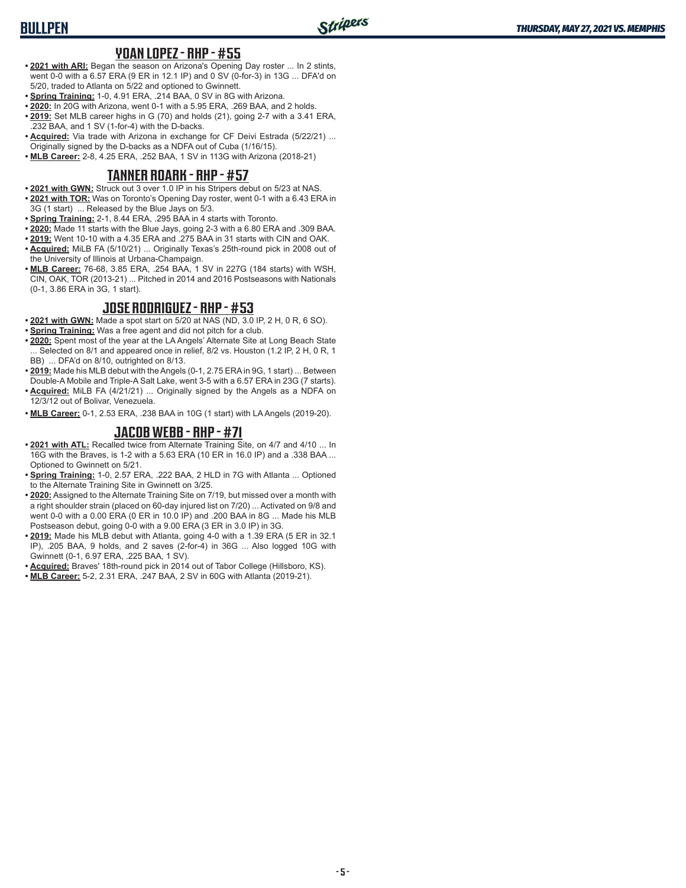# **BULLPEN**

#### **YOAN LOPEZ - RHP - #55**

- **• 2021 with ARI:** Began the season on Arizona's Opening Day roster ... In 2 stints, went 0-0 with a 6.57 ERA (9 ER in 12.1 IP) and 0 SV (0-for-3) in 13G ... DFA'd on 5/20, traded to Atlanta on 5/22 and optioned to Gwinnett.
- **• Spring Training:** 1-0, 4.91 ERA, .214 BAA, 0 SV in 8G with Arizona.
- **• 2020:** In 20G with Arizona, went 0-1 with a 5.95 ERA, .269 BAA, and 2 holds.
- **• 2019:** Set MLB career highs in G (70) and holds (21), going 2-7 with a 3.41 ERA, .232 BAA, and 1 SV (1-for-4) with the D-backs.
- **• Acquired:** Via trade with Arizona in exchange for CF Deivi Estrada (5/22/21) ... Originally signed by the D-backs as a NDFA out of Cuba (1/16/15).
- **• MLB Career:** 2-8, 4.25 ERA, .252 BAA, 1 SV in 113G with Arizona (2018-21)

#### **TANNER ROARK - RHP - #57**

- **• 2021 with GWN:** Struck out 3 over 1.0 IP in his Stripers debut on 5/23 at NAS.
- **• 2021 with TOR:** Was on Toronto's Opening Day roster, went 0-1 with a 6.43 ERA in 3G (1 start) ... Released by the Blue Jays on 5/3.
- **• Spring Training:** 2-1, 8.44 ERA, .295 BAA in 4 starts with Toronto.
- **• 2020:** Made 11 starts with the Blue Jays, going 2-3 with a 6.80 ERA and .309 BAA.
- **• 2019:** Went 10-10 with a 4.35 ERA and .275 BAA in 31 starts with CIN and OAK.
- **• Acquired:** MiLB FA (5/10/21) ... Originally Texas's 25th-round pick in 2008 out of the University of Illinois at Urbana-Champaign.
- **• MLB Career:** 76-68, 3.85 ERA, .254 BAA, 1 SV in 227G (184 starts) with WSH, CIN, OAK, TOR (2013-21) ... Pitched in 2014 and 2016 Postseasons with Nationals (0-1, 3.86 ERA in 3G, 1 start).

#### **JOSE RODRIGUEZ - RHP - #53**

- **• 2021 with GWN:** Made a spot start on 5/20 at NAS (ND, 3.0 IP, 2 H, 0 R, 6 SO).
- **• Spring Training:** Was a free agent and did not pitch for a club.
- **• 2020:** Spent most of the year at the LA Angels' Alternate Site at Long Beach State ... Selected on 8/1 and appeared once in relief, 8/2 vs. Houston (1.2 IP, 2 H, 0 R, 1 BB) ... DFA'd on 8/10, outrighted on 8/13.
- **• 2019:** Made his MLB debut with the Angels (0-1, 2.75 ERA in 9G, 1 start) ... Between Double-A Mobile and Triple-A Salt Lake, went 3-5 with a 6.57 ERA in 23G (7 starts).
- **• Acquired:** MiLB FA (4/21/21) ... Originally signed by the Angels as a NDFA on 12/3/12 out of Bolivar, Venezuela.
- **• MLB Career:** 0-1, 2.53 ERA, .238 BAA in 10G (1 start) with LA Angels (2019-20).

#### **JACOB WEBB - RHP - #71**

- **• 2021 with ATL:** Recalled twice from Alternate Training Site, on 4/7 and 4/10 ... In 16G with the Braves, is 1-2 with a 5.63 ERA (10 ER in 16.0 IP) and a .338 BAA ... Optioned to Gwinnett on 5/21.
- **• Spring Training:** 1-0, 2.57 ERA, .222 BAA, 2 HLD in 7G with Atlanta ... Optioned to the Alternate Training Site in Gwinnett on 3/25.
- **• 2020:** Assigned to the Alternate Training Site on 7/19, but missed over a month with a right shoulder strain (placed on 60-day injured list on 7/20) ... Activated on 9/8 and went 0-0 with a 0.00 ERA (0 ER in 10.0 IP) and .200 BAA in 8G ... Made his MLB Postseason debut, going 0-0 with a 9.00 ERA (3 ER in 3.0 IP) in 3G.
- **• 2019:** Made his MLB debut with Atlanta, going 4-0 with a 1.39 ERA (5 ER in 32.1 IP), .205 BAA, 9 holds, and 2 saves (2-for-4) in 36G ... Also logged 10G with Gwinnett (0-1, 6.97 ERA, .225 BAA, 1 SV).
- **• Acquired:** Braves' 18th-round pick in 2014 out of Tabor College (Hillsboro, KS).
- **• MLB Career:** 5-2, 2.31 ERA, .247 BAA, 2 SV in 60G with Atlanta (2019-21).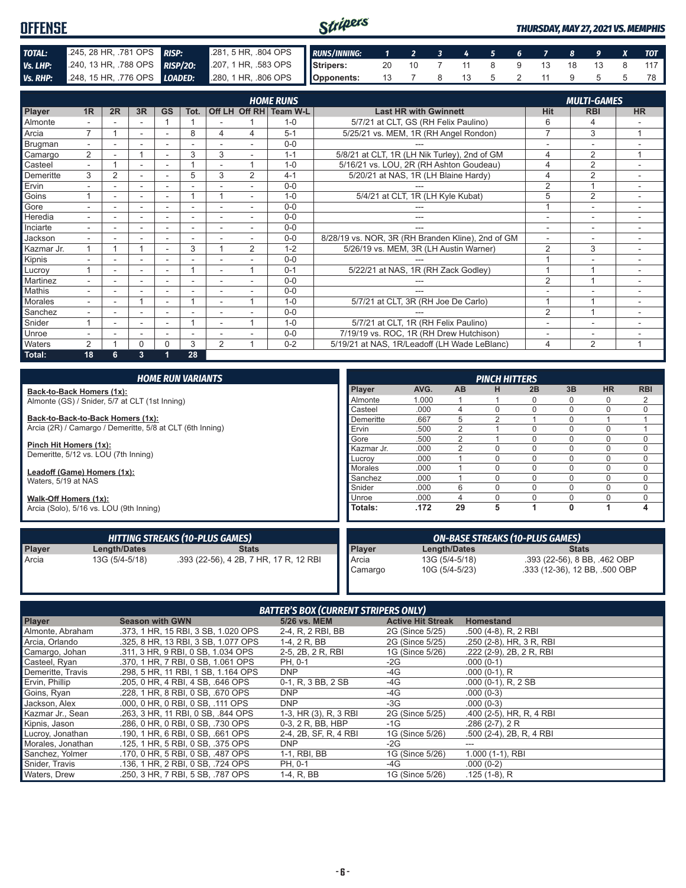| <b>OFFENSE</b> |                                                                    |  | Stripers                                                    |  |  |  |  |                           |  |  | <b>THURSDAY, MAY 27, 2021 VS. MEMPHIS</b> |  |  |  |     |  |  |
|----------------|--------------------------------------------------------------------|--|-------------------------------------------------------------|--|--|--|--|---------------------------|--|--|-------------------------------------------|--|--|--|-----|--|--|
| TOTAL:         | 245, 28 HR, 781 OPS RISP:                                          |  | 281, 5 HR, 804 OPS RUNS/INNING: 1 2 3 4 5 6 7 8 9 X TOT     |  |  |  |  |                           |  |  |                                           |  |  |  |     |  |  |
| Vs. LHP:       |                                                                    |  | 240, 13 HR, .788 OPS RISP/20: 207, 1 HR, .583 OPS Stripers: |  |  |  |  | 20 10 7 11 8 9 13 18 13 8 |  |  |                                           |  |  |  | 117 |  |  |
|                | Vs. RHP: 248, 15 HR, 776 OPS LOADED: 280, 1 HR, 806 OPS Opponents: |  |                                                             |  |  |  |  | 13 7 8 13 5 2 11 9 5      |  |  |                                           |  |  |  |     |  |  |

|            |                |                |    |                |                          |                |                | <b>HOME RUNS</b>       |                                                   |                          | <b>MULTI-GAMES</b>       |           |
|------------|----------------|----------------|----|----------------|--------------------------|----------------|----------------|------------------------|---------------------------------------------------|--------------------------|--------------------------|-----------|
| Player     | 1R             | 2R             | 3R | <b>GS</b>      | Tot.                     |                |                | Off LH Off RH Team W-L | <b>Last HR with Gwinnett</b>                      | Hit                      | <b>RBI</b>               | <b>HR</b> |
| Almonte    |                |                | ۰  |                |                          |                |                | $1 - 0$                | 5/7/21 at CLT, GS (RH Felix Paulino)              | 6                        | 4                        |           |
| Arcia      | 7              |                | ۰. |                | 8                        | 4              | 4              | $5 - 1$                | 5/25/21 vs. MEM, 1R (RH Angel Rondon)             | $\overline{7}$           | 3                        | 1         |
| Brugman    | $\sim$         |                |    |                |                          |                |                | $0 - 0$                |                                                   |                          | ÷                        |           |
| Camargo    | $\overline{2}$ |                |    | ۰              | 3                        | 3              | ۰              | $1 - 1$                | 5/8/21 at CLT, 1R (LH Nik Turley), 2nd of GM      | 4                        | $\overline{2}$           | 1         |
| Casteel    |                |                | ۰  | ٠              |                          |                | и              | $1 - 0$                | 5/16/21 vs. LOU, 2R (RH Ashton Goudeau)           | 4                        | $\overline{2}$           |           |
| Demeritte  | 3              | $\overline{2}$ | ۰  | ۰              | 5                        | 3              | $\overline{2}$ | $4 - 1$                | 5/20/21 at NAS, 1R (LH Blaine Hardy)              | 4                        | $\overline{2}$           |           |
| Ervin      |                |                |    |                |                          |                |                | $0 - 0$                |                                                   | $\overline{2}$           |                          |           |
| Goins      |                |                | ۰  | ۰              |                          |                | ٠.             | $1 - 0$                | 5/4/21 at CLT, 1R (LH Kyle Kubat)                 | 5                        | $\overline{2}$           |           |
| Gore       |                | ٠              | ۰  | ۰              | $\overline{\phantom{a}}$ |                |                | $0 - 0$                |                                                   | $\overline{\mathbf{A}}$  | $\sim$                   |           |
| Heredia    |                |                | ٠  |                | $\overline{\phantom{a}}$ |                |                | $0 - 0$                | ---                                               | ٠                        | ÷                        |           |
| Inciarte   |                |                | ۰  |                |                          |                |                | $0 - 0$                | ---                                               | $\overline{\phantom{a}}$ | ٠                        |           |
| Jackson    | $\sim$         |                | ٠  | $\overline{a}$ | ٠                        |                |                | $0 - 0$                | 8/28/19 vs. NOR, 3R (RH Branden Kline), 2nd of GM | $\overline{a}$           | $\overline{\phantom{a}}$ | ٠.        |
| Kazmar Jr. |                |                |    | ۰              | 3                        |                | $\overline{2}$ | $1 - 2$                | 5/26/19 vs. MEM, 3R (LH Austin Warner)            | $\overline{2}$           | 3                        | ۰         |
| Kipnis     | ٠.             |                | ۰  | ٠              | ٠                        |                |                | $0 - 0$                |                                                   |                          | ٠                        |           |
| Lucrov     |                |                | ۰  | ۰              |                          |                |                | $0 - 1$                | 5/22/21 at NAS, 1R (RH Zack Godley)               |                          |                          |           |
| Martinez   |                |                | ۰  | -              | -                        |                |                | $0 - 0$                |                                                   | $\overline{2}$           |                          |           |
| Mathis     |                |                |    |                |                          |                |                | $0 - 0$                |                                                   |                          |                          |           |
| Morales    |                |                |    |                |                          |                | и              | $1 - 0$                | 5/7/21 at CLT, 3R (RH Joe De Carlo)               |                          |                          |           |
| Sanchez    |                |                |    |                |                          |                |                | $0 - 0$                |                                                   | $\overline{2}$           |                          |           |
| Snider     |                |                | ۰  | ۰              |                          | ٠              | и              | $1 - 0$                | 5/7/21 at CLT, 1R (RH Felix Paulino)              |                          | ۰                        |           |
| Unroe      |                |                | ٠  | ٠              | $\overline{\phantom{a}}$ |                |                | $0 - 0$                | 7/19/19 vs. ROC, 1R (RH Drew Hutchison)           | $\overline{\phantom{a}}$ | $\overline{\phantom{0}}$ |           |
| Waters     | 2              |                | 0  | 0              | 3                        | $\overline{2}$ | и              | $0 - 2$                | 5/19/21 at NAS, 1R/Leadoff (LH Wade LeBlanc)      | 4                        | $\overline{2}$           | 1         |
| Total:     | 18             | 6.             | 3  | 1              | 28                       |                |                |                        |                                                   |                          |                          |           |

|                        |                                                           | <b>HOME RUN VARIANTS</b>               |                                        |                                                |                  | <b>PINCH HITTERS</b> |              |                           |           |             |  |
|------------------------|-----------------------------------------------------------|----------------------------------------|----------------------------------------|------------------------------------------------|------------------|----------------------|--------------|---------------------------|-----------|-------------|--|
|                        | Back-to-Back Homers (1x):                                 |                                        | Player                                 | AVG.                                           | AB               | н                    | 2B           | 3B                        | <b>HR</b> | <b>RBI</b>  |  |
|                        | Almonte (GS) / Snider, 5/7 at CLT (1st Inning)            |                                        | Almonte                                | 1.000                                          |                  |                      |              | n                         | 0         | 2           |  |
|                        |                                                           |                                        | Casteel                                | .000                                           | 4                |                      |              | $\Omega$                  | 0         | $\mathbf 0$ |  |
|                        | Back-to-Back-to-Back Homers (1x):                         |                                        | Demeritte                              | .667                                           | 5                |                      |              |                           |           |             |  |
|                        | Arcia (2R) / Camargo / Demeritte, 5/8 at CLT (6th Inning) |                                        | Ervin                                  | .500                                           | $\overline{2}$   |                      |              | $\Omega$                  | 0         |             |  |
|                        |                                                           |                                        | Gore                                   | .500                                           | $\overline{2}$   |                      |              | $\Omega$                  | 0         | $\mathbf 0$ |  |
| Pinch Hit Homers (1x): |                                                           |                                        | Kazmar Jr.                             | .000                                           | $\mathfrak{p}$   |                      |              | $\Omega$                  | 0         | $\mathbf 0$ |  |
|                        | Demeritte, 5/12 vs. LOU (7th Inning)                      |                                        | Lucroy                                 | .000                                           |                  |                      |              | $\Omega$                  | 0         | $\mathbf 0$ |  |
|                        | Leadoff (Game) Homers (1x):                               |                                        | Morales                                | .000                                           |                  |                      |              | $\Omega$                  | 0         | $\Omega$    |  |
| Waters, 5/19 at NAS    |                                                           |                                        | Sanchez                                | .000                                           |                  |                      | $\Omega$     | $\Omega$                  | 0         | $\mathbf 0$ |  |
|                        |                                                           |                                        | Snider                                 | .000                                           | 6                |                      | $\Omega$     | $\Omega$                  | 0         | 0           |  |
| Walk-Off Homers (1x):  |                                                           |                                        | Unroe                                  | .000                                           | 4                |                      |              | $\Omega$                  | 0         | 0           |  |
|                        | Arcia (Solo), 5/16 vs. LOU (9th Inning)                   |                                        | Totals:                                | .172                                           | 29               | 5                    |              | $\mathbf{0}$              |           | 4           |  |
|                        |                                                           | <b>HITTING STREAKS (10-PLUS GAMES)</b> | <b>ON-BASE STREAKS (10-PLUS GAMES)</b> |                                                |                  |                      |              |                           |           |             |  |
| Player                 | Length/Dates                                              | <b>Stats</b>                           | Player                                 | Length/Dates                                   |                  |                      | <b>Stats</b> |                           |           |             |  |
| Arcia                  | 13G (5/4-5/18)                                            | .393 (22-56), 4 2B, 7 HR, 17 R, 12 RBI | Arcia                                  | 13G (5/4-5/18)<br>.393 (22-56), 8 BB, .462 OBP |                  |                      |              |                           |           |             |  |
|                        |                                                           |                                        | Camarao                                |                                                | $10C$ (5/1 5/23) |                      |              | 333 (12 36) 12 RB 500 ORD |           |             |  |

Camargo 10G (5/4-5/23) .333 (12-36), 12 BB, .500 OBP

| <b>BATTER'S BOX (CURRENT STRIPERS ONLY)</b> |                                     |                       |                          |                          |
|---------------------------------------------|-------------------------------------|-----------------------|--------------------------|--------------------------|
| Player                                      | <b>Season with GWN</b>              | 5/26 vs. MEM          | <b>Active Hit Streak</b> | <b>Homestand</b>         |
| Almonte, Abraham                            | .373, 1 HR, 15 RBI, 3 SB, 1.020 OPS | 2-4, R, 2 RBI, BB     | 2G (Since 5/25)          | .500 (4-8), R, 2 RBI     |
| Arcia, Orlando                              | .325, 8 HR, 13 RBI, 3 SB, 1.077 OPS | 1-4, 2 R, BB          | 2G (Since 5/25)          | .250 (2-8), HR, 3 R, RBI |
| Camargo, Johan                              | .311, 3 HR, 9 RBI, 0 SB, 1,034 OPS  | 2-5, 2B, 2 R, RBI     | 1G (Since 5/26)          | .222 (2-9), 2B, 2 R, RBI |
| Casteel, Ryan                               | .370. 1 HR. 7 RBI. 0 SB. 1.061 OPS  | PH, 0-1               | -2G                      | $.000(0-1)$              |
| Demeritte, Travis                           | .298, 5 HR, 11 RBI, 1 SB, 1.164 OPS | <b>DNP</b>            | -4G                      | $.000(0-1)$ , R          |
| Ervin, Phillip                              | .205, 0 HR, 4 RBI, 4 SB, .646 OPS   | 0-1, R, 3 BB, 2 SB    | -4G                      | $.000(0-1)$ , R, 2 SB    |
| Goins, Ryan                                 | .228. 1 HR. 8 RBI. 0 SB. .670 OPS   | <b>DNP</b>            | -4G                      | $.000(0-3)$              |
| Jackson, Alex                               | .000, 0 HR, 0 RBI, 0 SB, .111 OPS   | <b>DNP</b>            | -3G                      | $.000(0-3)$              |
| Kazmar Jr., Sean                            | .263, 3 HR, 11 RBI, 0 SB, .844 OPS  | 1-3, HR (3), R, 3 RBI | 2G (Since 5/25)          | .400 (2-5), HR, R, 4 RBI |
| Kipnis, Jason                               | .286, 0 HR, 0 RBI, 0 SB, .730 OPS   | 0-3, 2 R, BB, HBP     | -1G                      | $.286(2-7), 2R$          |
| Lucroy, Jonathan                            | .190, 1 HR, 6 RBI, 0 SB, .661 OPS   | 2-4, 2B, SF, R, 4 RBI | 1G (Since 5/26)          | .500 (2-4), 2B, R, 4 RBI |
| Morales, Jonathan                           | .125, 1 HR, 5 RBI, 0 SB, .375 OPS   | <b>DNP</b>            | -2G                      | ---                      |
| Sanchez, Yolmer                             | .170. 0 HR. 5 RBI. 0 SB. .487 OPS   | 1-1, RBI, BB          | 1G (Since 5/26)          | 1.000 (1-1), RBI         |
| Snider, Travis                              | .136, 1 HR, 2 RBI, 0 SB, .724 OPS   | PH, 0-1               | -4G                      | $.000(0-2)$              |
| Waters, Drew                                | .250, 3 HR, 7 RBI, 5 SB, .787 OPS   | 1-4, R, BB            | 1G (Since 5/26)          | .125 (1-8), R            |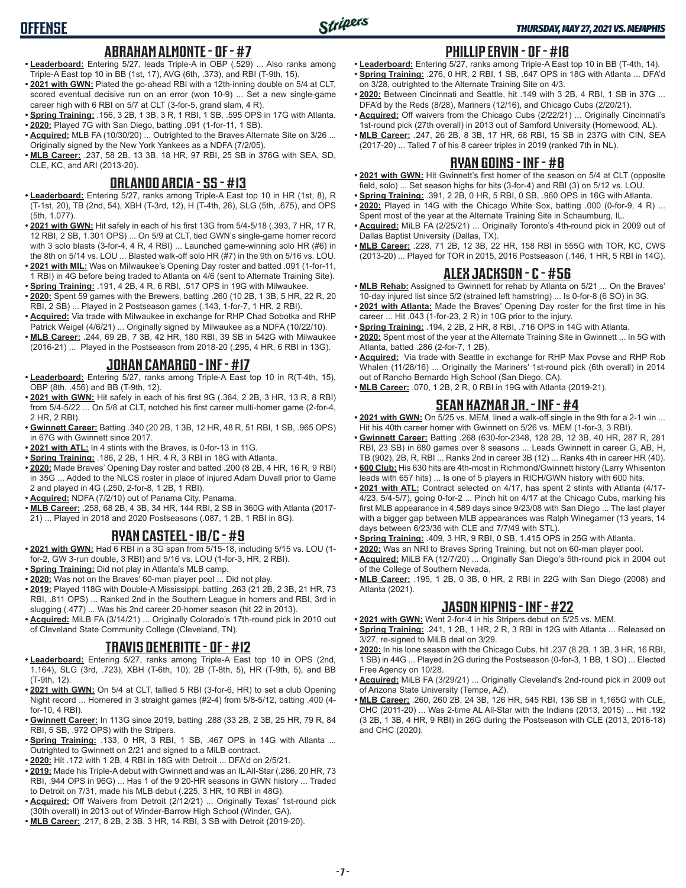# **ABRAHAM ALMONTE - OF - #7**

- **• Leaderboard:** Entering 5/27, leads Triple-A in OBP (.529) ... Also ranks among Triple-A East top 10 in BB (1st, 17), AVG (6th, .373), and RBI (T-9th, 15).
- **• 2021 with GWN:** Plated the go-ahead RBI with a 12th-inning double on 5/4 at CLT, scored eventual decisive run on an error (won 10-9) ... Set a new single-game career high with 6 RBI on 5/7 at CLT (3-for-5, grand slam, 4 R).
- **• Spring Training:** .156, 3 2B, 1 3B, 3 R, 1 RBI, 1 SB, .595 OPS in 17G with Atlanta.
- **• 2020:** Played 7G with San Diego, batting .091 (1-for-11, 1 SB).
- **• Acquired:** MLB FA (10/30/20) ... Outrighted to the Braves Alternate Site on 3/26 ... Originally signed by the New York Yankees as a NDFA (7/2/05).
- **• MLB Career:** .237, 58 2B, 13 3B, 18 HR, 97 RBI, 25 SB in 376G with SEA, SD, CLE, KC, and ARI (2013-20).

### **ORLANDO ARCIA - SS - #13**

- **• Leaderboard:** Entering 5/27, ranks among Triple-A East top 10 in HR (1st, 8), R (T-1st, 20), TB (2nd, 54), XBH (T-3rd, 12), H (T-4th, 26), SLG (5th, .675), and OPS (5th, 1.077).
- **• 2021 with GWN:** Hit safely in each of his first 13G from 5/4-5/18 (.393, 7 HR, 17 R, 12 RBI, 2 SB, 1.301 OPS) ... On 5/9 at CLT, tied GWN's single-game homer record with 3 solo blasts (3-for-4, 4 R, 4 RBI) ... Launched game-winning solo HR (#6) in the 8th on 5/14 vs. LOU ... Blasted walk-off solo HR (#7) in the 9th on 5/16 vs. LOU.
- **• 2021 with MIL:** Was on Milwaukee's Opening Day roster and batted .091 (1-for-11, 1 RBI) in 4G before being traded to Atlanta on 4/6 (sent to Alternate Training Site).
- **• Spring Training:** .191, 4 2B, 4 R, 6 RBI, .517 OPS in 19G with Milwaukee.
- **• 2020:** Spent 59 games with the Brewers, batting .260 (10 2B, 1 3B, 5 HR, 22 R, 20 RBI, 2 SB) ... Played in 2 Postseason games (.143, 1-for-7, 1 HR, 2 RBI).
- **• Acquired:** Via trade with Milwaukee in exchange for RHP Chad Sobotka and RHP Patrick Weigel (4/6/21) ... Originally signed by Milwaukee as a NDFA (10/22/10).
- **• MLB Career:** .244, 69 2B, 7 3B, 42 HR, 180 RBI, 39 SB in 542G with Milwaukee (2016-21) ... Played in the Postseason from 2018-20 (.295, 4 HR, 6 RBI in 13G).

# **JOHAN CAMARGO - INF - #17**

- **• Leaderboard:** Entering 5/27, ranks among Triple-A East top 10 in R(T-4th, 15), OBP (8th, .456) and BB (T-9th, 12).
- **• 2021 with GWN:** Hit safely in each of his first 9G (.364, 2 2B, 3 HR, 13 R, 8 RBI) from 5/4-5/22 ... On 5/8 at CLT, notched his first career multi-homer game (2-for-4, 2 HR, 2 RBI).
- **• Gwinnett Career:** Batting .340 (20 2B, 1 3B, 12 HR, 48 R, 51 RBI, 1 SB, .965 OPS) in 67G with Gwinnett since 2017.
- **• 2021 with ATL:** In 4 stints with the Braves, is 0-for-13 in 11G.
- **• Spring Training:** .186, 2 2B, 1 HR, 4 R, 3 RBI in 18G with Atlanta.
- **• 2020:** Made Braves' Opening Day roster and batted .200 (8 2B, 4 HR, 16 R, 9 RBI) in 35G ... Added to the NLCS roster in place of injured Adam Duvall prior to Game 2 and played in 4G (.250, 2-for-8, 1 2B, 1 RBI).
- **• Acquired:** NDFA (7/2/10) out of Panama City, Panama.
- **• MLB Career:** .258, 68 2B, 4 3B, 34 HR, 144 RBI, 2 SB in 360G with Atlanta (2017- 21) ... Played in 2018 and 2020 Postseasons (.087, 1 2B, 1 RBI in 8G).

### **RYAN CASTEEL - 1B/C - #9**

- **• 2021 with GWN:** Had 6 RBI in a 3G span from 5/15-18, including 5/15 vs. LOU (1 for-2, GW 3-run double, 3 RBI) and 5/16 vs. LOU (1-for-3, HR, 2 RBI).
- **• Spring Training:** Did not play in Atlanta's MLB camp.
- **• 2020:** Was not on the Braves' 60-man player pool ... Did not play.
- **• 2019:** Played 118G with Double-A Mississippi, batting .263 (21 2B, 2 3B, 21 HR, 73 RBI, .811 OPS) ... Ranked 2nd in the Southern League in homers and RBI, 3rd in slugging (.477) ... Was his 2nd career 20-homer season (hit 22 in 2013).
- **• Acquired:** MiLB FA (3/14/21) ... Originally Colorado's 17th-round pick in 2010 out of Cleveland State Community College (Cleveland, TN).

### **TRAVIS DEMERITTE - OF - #12**

- **• Leaderboard:** Entering 5/27, ranks among Triple-A East top 10 in OPS (2nd, 1.164), SLG (3rd, .723), XBH (T-6th, 10), 2B (T-8th, 5), HR (T-9th, 5), and BB (T-9th, 12).
- **• 2021 with GWN:** On 5/4 at CLT, tallied 5 RBI (3-for-6, HR) to set a club Opening Night record ... Homered in 3 straight games (#2-4) from 5/8-5/12, batting .400 (4 for-10, 4 RBI).
- **• Gwinnett Career:** In 113G since 2019, batting .288 (33 2B, 2 3B, 25 HR, 79 R, 84 RBI, 5 SB, .972 OPS) with the Stripers.
- **• Spring Training:** .133, 0 HR, 3 RBI, 1 SB, .467 OPS in 14G with Atlanta ... Outrighted to Gwinnett on 2/21 and signed to a MiLB contract.
- **• 2020:** Hit .172 with 1 2B, 4 RBI in 18G with Detroit ... DFA'd on 2/5/21.
- **• 2019:** Made his Triple-A debut with Gwinnett and was an IL All-Star (.286, 20 HR, 73 RBI, .944 OPS in 96G) ... Has 1 of the 9 20-HR seasons in GWN history ... Traded to Detroit on 7/31, made his MLB debut (.225, 3 HR, 10 RBI in 48G).
- **• Acquired:** Off Waivers from Detroit (2/12/21) ... Originally Texas' 1st-round pick (30th overall) in 2013 out of Winder-Barrow High School (Winder, GA).
- **• MLB Career:** .217, 8 2B, 2 3B, 3 HR, 14 RBI, 3 SB with Detroit (2019-20).

# **PHILLIP ERVIN - OF - #18**

- **• Leaderboard:** Entering 5/27, ranks among Triple-A East top 10 in BB (T-4th, 14). **• Spring Training:** .276, 0 HR, 2 RBI, 1 SB, .647 OPS in 18G with Atlanta ... DFA'd on 3/28, outrighted to the Alternate Training Site on 4/3.
- **• 2020:** Between Cincinnati and Seattle, hit .149 with 3 2B, 4 RBI, 1 SB in 37G ... DFA'd by the Reds (8/28), Mariners (12/16), and Chicago Cubs (2/20/21).
- **• Acquired:** Off waivers from the Chicago Cubs (2/22/21) ... Originally Cincinnati's 1st-round pick (27th overall) in 2013 out of Samford University (Homewood, AL).
- **• MLB Career:** .247, 26 2B, 8 3B, 17 HR, 68 RBI, 15 SB in 237G with CIN, SEA (2017-20) ... Talled 7 of his 8 career triples in 2019 (ranked 7th in NL).

#### **RYAN GOINS - INF - #8**

- **• 2021 with GWN:** Hit Gwinnett's first homer of the season on 5/4 at CLT (opposite field, solo) ... Set season highs for hits (3-for-4) and RBI (3) on 5/12 vs. LOU.
- **• Spring Training:** .391, 2 2B, 0 HR, 5 RBI, 0 SB, .960 OPS in 16G with Atlanta.
- **• 2020:** Played in 14G with the Chicago White Sox, batting .000 (0-for-9, 4 R) ... Spent most of the year at the Alternate Training Site in Schaumburg, IL.
- **• Acquired:** MiLB FA (2/25/21) ... Originally Toronto's 4th-round pick in 2009 out of Dallas Baptist University (Dallas, TX).
- **• MLB Career:** .228, 71 2B, 12 3B, 22 HR, 158 RBI in 555G with TOR, KC, CWS (2013-20) ... Played for TOR in 2015, 2016 Postseason (.146, 1 HR, 5 RBI in 14G).

#### **ALEX JACKSON - C - #56**

- **• MLB Rehab:** Assigned to Gwinnett for rehab by Atlanta on 5/21 ... On the Braves' 10-day injured list since 5/2 (strained left hamstring) ... Is 0-for-8 (6 SO) in 3G.
- **• 2021 with Atlanta:** Made the Braves' Opening Day roster for the first time in his career ... Hit .043 (1-for-23, 2 R) in 10G prior to the injury.
- **• Spring Training:** .194, 2 2B, 2 HR, 8 RBI, .716 OPS in 14G with Atlanta.
- **• 2020:** Spent most of the year at the Alternate Training Site in Gwinnett ... In 5G with Atlanta, batted .286 (2-for-7, 1 2B).
- **• Acquired:** Via trade with Seattle in exchange for RHP Max Povse and RHP Rob Whalen (11/28/16) ... Originally the Mariners' 1st-round pick (6th overall) in 2014 out of Rancho Bernardo High School (San Diego, CA).
- **• MLB Career:** .070, 1 2B, 2 R, 0 RBI in 19G with Atlanta (2019-21).

### **SEAN KAZMAR JR. - INF - #4**

- **• 2021 with GWN:** On 5/25 vs. MEM, lined a walk-off single in the 9th for a 2-1 win ... Hit his 40th career homer with Gwinnett on 5/26 vs. MEM (1-for-3, 3 RBI).
- **• Gwinnett Career:** Batting .268 (630-for-2348, 128 2B, 12 3B, 40 HR, 287 R, 281 RBI, 23 SB) in 680 games over 8 seasons ... Leads Gwinnett in career G, AB, H, TB (902), 2B, R, RBI ... Ranks 2nd in career 3B (12) ... Ranks 4th in career HR (40).
- **• 600 Club:** His 630 hits are 4th-most in Richmond/Gwinnett history (Larry Whisenton leads with 657 hits) ... Is one of 5 players in RICH/GWN history with 600 hits.
- **• 2021 with ATL:** Contract selected on 4/17, has spent 2 stints with Atlanta (4/17- 4/23, 5/4-5/7), going 0-for-2 ... Pinch hit on 4/17 at the Chicago Cubs, marking his first MLB appearance in 4,589 days since 9/23/08 with San Diego ... The last player with a bigger gap between MLB appearances was Ralph Winegarner (13 years, 14 days between 6/23/36 with CLE and 7/7/49 with STL).
- **• Spring Training:** .409, 3 HR, 9 RBI, 0 SB, 1.415 OPS in 25G with Atlanta.
- **• 2020:** Was an NRI to Braves Spring Training, but not on 60-man player pool. **• Acquired:** MiLB FA (12/7/20) ... Originally San Diego's 5th-round pick in 2004 out of the College of Southern Nevada.
- **• MLB Career:** .195, 1 2B, 0 3B, 0 HR, 2 RBI in 22G with San Diego (2008) and Atlanta (2021).

### **JASON KIPNIS - INF - #22**

- **• 2021 with GWN:** Went 2-for-4 in his Stripers debut on 5/25 vs. MEM.
- **• Spring Training:** .241, 1 2B, 1 HR, 2 R, 3 RBI in 12G with Atlanta ... Released on 3/27, re-signed to MiLB deal on 3/29.
- **• 2020:** In his lone season with the Chicago Cubs, hit .237 (8 2B, 1 3B, 3 HR, 16 RBI, 1 SB) in 44G ... Played in 2G during the Postseason (0-for-3, 1 BB, 1 SO) ... Elected Free Agency on 10/28.
- **• Acquired:** MiLB FA (3/29/21) ... Originally Cleveland's 2nd-round pick in 2009 out of Arizona State University (Tempe, AZ).
- **• MLB Career:** .260, 260 2B, 24 3B, 126 HR, 545 RBI, 136 SB in 1,165G with CLE, CHC (2011-20) ... Was 2-time AL All-Star with the Indians (2013, 2015) ... Hit .192 (3 2B, 1 3B, 4 HR, 9 RBI) in 26G during the Postseason with CLE (2013, 2016-18) and CHC (2020).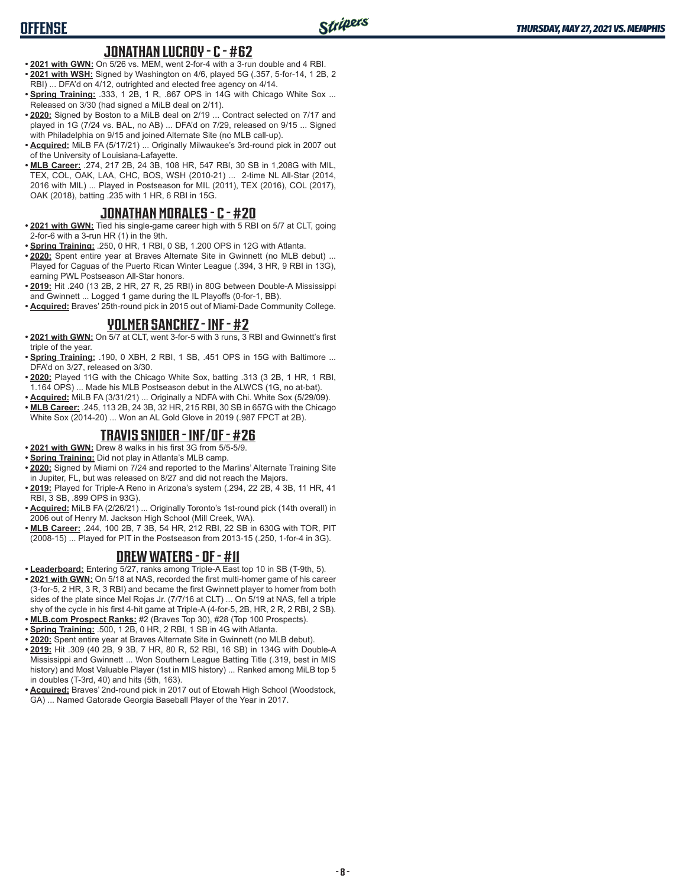# **OFFENSE**

#### **JONATHAN LUCROY - C - #62**

- **• 2021 with GWN:** On 5/26 vs. MEM, went 2-for-4 with a 3-run double and 4 RBI. **• 2021 with WSH:** Signed by Washington on 4/6, played 5G (.357, 5-for-14, 1 2B, 2 RBI) ... DFA'd on 4/12, outrighted and elected free agency on 4/14.
- **Spring Training: .333, 1 2B, 1 R, .867 OPS in 14G with Chicago White Sox ...** Released on 3/30 (had signed a MiLB deal on 2/11).
- **• 2020:** Signed by Boston to a MiLB deal on 2/19 ... Contract selected on 7/17 and played in 1G (7/24 vs. BAL, no AB) ... DFA'd on 7/29, released on 9/15 ... Signed with Philadelphia on 9/15 and joined Alternate Site (no MLB call-up).
- **• Acquired:** MiLB FA (5/17/21) ... Originally Milwaukee's 3rd-round pick in 2007 out of the University of Louisiana-Lafayette.
- **• MLB Career:** .274, 217 2B, 24 3B, 108 HR, 547 RBI, 30 SB in 1,208G with MIL, TEX, COL, OAK, LAA, CHC, BOS, WSH (2010-21) ... 2-time NL All-Star (2014, 2016 with MIL) ... Played in Postseason for MIL (2011), TEX (2016), COL (2017), OAK (2018), batting .235 with 1 HR, 6 RBI in 15G.

#### **JONATHAN MORALES - C - #20**

- **• 2021 with GWN:** Tied his single-game career high with 5 RBI on 5/7 at CLT, going 2-for-6 with a 3-run HR (1) in the 9th.
- **• Spring Training:** .250, 0 HR, 1 RBI, 0 SB, 1.200 OPS in 12G with Atlanta.
- **• 2020:** Spent entire year at Braves Alternate Site in Gwinnett (no MLB debut) ... Played for Caguas of the Puerto Rican Winter League (.394, 3 HR, 9 RBI in 13G), earning PWL Postseason All-Star honors.
- **• 2019:** Hit .240 (13 2B, 2 HR, 27 R, 25 RBI) in 80G between Double-A Mississippi and Gwinnett ... Logged 1 game during the IL Playoffs (0-for-1, BB).
- **• Acquired:** Braves' 25th-round pick in 2015 out of Miami-Dade Community College.

#### **YOLMER SANCHEZ - INF - #2**

- **• 2021 with GWN:** On 5/7 at CLT, went 3-for-5 with 3 runs, 3 RBI and Gwinnett's first triple of the year.
- **• Spring Training:** .190, 0 XBH, 2 RBI, 1 SB, .451 OPS in 15G with Baltimore ... DFA'd on 3/27, released on 3/30.
- **• 2020:** Played 11G with the Chicago White Sox, batting .313 (3 2B, 1 HR, 1 RBI, 1.164 OPS) ... Made his MLB Postseason debut in the ALWCS (1G, no at-bat).
- **• Acquired:** MiLB FA (3/31/21) ... Originally a NDFA with Chi. White Sox (5/29/09).
- **• MLB Career:** .245, 113 2B, 24 3B, 32 HR, 215 RBI, 30 SB in 657G with the Chicago White Sox (2014-20) ... Won an AL Gold Glove in 2019 (.987 FPCT at 2B).

#### **TRAVIS SNIDER - INF/OF - #26**

- **• 2021 with GWN:** Drew 8 walks in his first 3G from 5/5-5/9.
- **• Spring Training:** Did not play in Atlanta's MLB camp.
- **• 2020:** Signed by Miami on 7/24 and reported to the Marlins' Alternate Training Site in Jupiter, FL, but was released on 8/27 and did not reach the Majors.
- **• 2019:** Played for Triple-A Reno in Arizona's system (.294, 22 2B, 4 3B, 11 HR, 41 RBI, 3 SB, .899 OPS in 93G).
- **• Acquired:** MiLB FA (2/26/21) ... Originally Toronto's 1st-round pick (14th overall) in 2006 out of Henry M. Jackson High School (Mill Creek, WA).
- **• MLB Career:** .244, 100 2B, 7 3B, 54 HR, 212 RBI, 22 SB in 630G with TOR, PIT (2008-15) ... Played for PIT in the Postseason from 2013-15 (.250, 1-for-4 in 3G).

#### **DREW WATERS - OF - #11**

- **• Leaderboard:** Entering 5/27, ranks among Triple-A East top 10 in SB (T-9th, 5). **• 2021 with GWN:** On 5/18 at NAS, recorded the first multi-homer game of his career (3-for-5, 2 HR, 3 R, 3 RBI) and became the first Gwinnett player to homer from both
- sides of the plate since Mel Rojas Jr. (7/7/16 at CLT) ... On 5/19 at NAS, fell a triple shy of the cycle in his first 4-hit game at Triple-A (4-for-5, 2B, HR, 2 R, 2 RBI, 2 SB). **• MLB.com Prospect Ranks:** #2 (Braves Top 30), #28 (Top 100 Prospects).
- **• Spring Training:** .500, 1 2B, 0 HR, 2 RBI, 1 SB in 4G with Atlanta.
- **• 2020:** Spent entire year at Braves Alternate Site in Gwinnett (no MLB debut).
- **• 2019:** Hit .309 (40 2B, 9 3B, 7 HR, 80 R, 52 RBI, 16 SB) in 134G with Double-A Mississippi and Gwinnett ... Won Southern League Batting Title (.319, best in MIS history) and Most Valuable Player (1st in MIS history) ... Ranked among MiLB top 5 in doubles (T-3rd, 40) and hits (5th, 163).
- **• Acquired:** Braves' 2nd-round pick in 2017 out of Etowah High School (Woodstock, GA) ... Named Gatorade Georgia Baseball Player of the Year in 2017.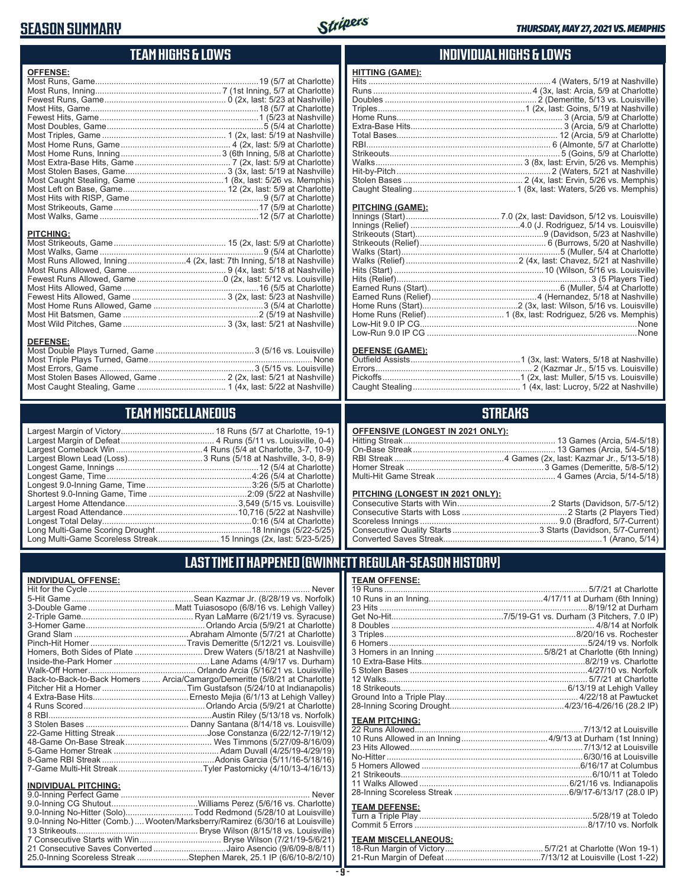# **SEASON SUMMARY**



# **TEAM HIGHS & LOWS**

| <b>OFFENSE:</b>                                                       |  |
|-----------------------------------------------------------------------|--|
|                                                                       |  |
|                                                                       |  |
|                                                                       |  |
|                                                                       |  |
|                                                                       |  |
|                                                                       |  |
|                                                                       |  |
|                                                                       |  |
|                                                                       |  |
|                                                                       |  |
|                                                                       |  |
|                                                                       |  |
|                                                                       |  |
|                                                                       |  |
|                                                                       |  |
|                                                                       |  |
|                                                                       |  |
|                                                                       |  |
| <b>PITCHING:</b>                                                      |  |
|                                                                       |  |
|                                                                       |  |
|                                                                       |  |
| Most Runs Allowed, Inning 4 (2x, last: 7th Inning, 5/18 at Nashville) |  |
|                                                                       |  |
|                                                                       |  |
|                                                                       |  |
|                                                                       |  |
|                                                                       |  |
|                                                                       |  |
|                                                                       |  |
| <b>DEFENSE:</b>                                                       |  |
|                                                                       |  |
|                                                                       |  |

# Most Caught Stealing, Game ...................................... 1 (4x, last: 5/22 at Nashville) **TEAM MISCELLANEOUS**

Most Stolen Bases Allowed, Game ............................. 2 (2x, last: 5/21 at Nashville)

| Long Multi-Game Scoreless Streak 15 Innings (2x, last: 5/23-5/25) |  |
|-------------------------------------------------------------------|--|

#### **INDIVIDUAL HIGHS & LOWS**

| HITT <u>ING</u> (GAME): |  |
|-------------------------|--|
|                         |  |
|                         |  |
|                         |  |
|                         |  |
|                         |  |
|                         |  |
|                         |  |
|                         |  |
|                         |  |
|                         |  |
|                         |  |
|                         |  |
|                         |  |

#### **PITCHING (GAME):**

| Low-Run 9.0 IP CG ………………………………………………………………………………………None |
|---------------------------------------------------------|
|                                                         |

#### **DEFENSE (GAME):**

# **STREAKS**

| OFFENSIVE (LONGEST IN 2021 ONLY): |  |  |  |
|-----------------------------------|--|--|--|
|-----------------------------------|--|--|--|

#### **PITCHING (LONGEST IN 2021 ONLY):**

# **LAST TIME IT HAPPENED (GWINNETT REGULAR-SEASON HISTORY)**

#### **INDIVIDUAL OFFENSE:**

| Homers, Both Sides of Plate  Drew Waters (5/18/21 at Nashville)            |
|----------------------------------------------------------------------------|
|                                                                            |
|                                                                            |
| Back-to-Back-to-Back Homers  Arcia/Camargo/Demeritte (5/8/21 at Charlotte) |
|                                                                            |
|                                                                            |
|                                                                            |
|                                                                            |
|                                                                            |
|                                                                            |
|                                                                            |
|                                                                            |
|                                                                            |
|                                                                            |
|                                                                            |
| Never                                                                      |
|                                                                            |

| 9.0-Inning No-Hitter (Solo)Todd Redmond (5/28/10 at Louisville)                 |  |
|---------------------------------------------------------------------------------|--|
| 9.0-Inning No-Hitter (Comb.)  Wooten/Marksberry/Ramirez (6/30/16 at Louisville) |  |
|                                                                                 |  |
|                                                                                 |  |
| 21 Consecutive Saves Converted Jairo Asencio (9/6/09-8/8/11)                    |  |
| 25.0-Inning Scoreless Streak Stephen Marek, 25.1 IP (6/6/10-8/2/10)             |  |

#### **TEAM OFFENSE:**

| I EAM UFFENSE.             |  |
|----------------------------|--|
|                            |  |
|                            |  |
|                            |  |
|                            |  |
|                            |  |
|                            |  |
|                            |  |
|                            |  |
|                            |  |
|                            |  |
|                            |  |
|                            |  |
|                            |  |
|                            |  |
| <b>TEAM PITCHING:</b>      |  |
|                            |  |
|                            |  |
|                            |  |
|                            |  |
|                            |  |
|                            |  |
|                            |  |
|                            |  |
|                            |  |
| <b>TEAM DEFENSE:</b>       |  |
|                            |  |
|                            |  |
| <b>TEAM MISCELLANEOUS:</b> |  |
|                            |  |

#### **TEAM MISCELLANEOUS:** 18-Run Margin of Victory .......................................... 5/7/21 at Charlotte (Won 19-1) 21-Run Margin of Defeat .........................................7/13/12 at Louisville (Lost 1-22)